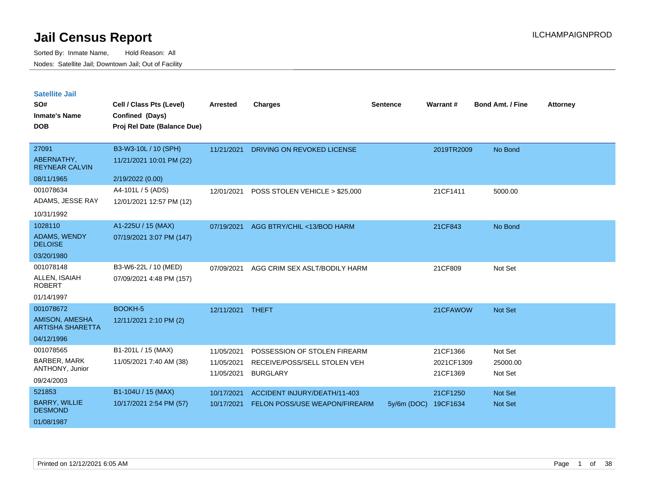| <b>Satellite Jail</b> |  |
|-----------------------|--|
|                       |  |

| SO#<br><b>Inmate's Name</b><br><b>DOB</b>                                   | Cell / Class Pts (Level)<br>Confined (Days)<br>Proj Rel Date (Balance Due) | <b>Arrested</b>                        | Charges                                                                         | <b>Sentence</b> | <b>Warrant#</b>                    | <b>Bond Amt. / Fine</b>        | <b>Attorney</b> |
|-----------------------------------------------------------------------------|----------------------------------------------------------------------------|----------------------------------------|---------------------------------------------------------------------------------|-----------------|------------------------------------|--------------------------------|-----------------|
| 27091<br>ABERNATHY,<br><b>REYNEAR CALVIN</b><br>08/11/1965                  | B3-W3-10L / 10 (SPH)<br>11/21/2021 10:01 PM (22)<br>2/19/2022 (0.00)       | 11/21/2021                             | DRIVING ON REVOKED LICENSE                                                      |                 | 2019TR2009                         | No Bond                        |                 |
| 001078634<br>ADAMS, JESSE RAY<br>10/31/1992                                 | A4-101L / 5 (ADS)<br>12/01/2021 12:57 PM (12)                              | 12/01/2021                             | POSS STOLEN VEHICLE > \$25,000                                                  |                 | 21CF1411                           | 5000.00                        |                 |
| 1028110<br><b>ADAMS, WENDY</b><br><b>DELOISE</b><br>03/20/1980              | A1-225U / 15 (MAX)<br>07/19/2021 3:07 PM (147)                             | 07/19/2021                             | AGG BTRY/CHIL <13/BOD HARM                                                      |                 | 21CF843                            | No Bond                        |                 |
| 001078148<br>ALLEN, ISAIAH<br><b>ROBERT</b><br>01/14/1997                   | B3-W6-22L / 10 (MED)<br>07/09/2021 4:48 PM (157)                           | 07/09/2021                             | AGG CRIM SEX ASLT/BODILY HARM                                                   |                 | 21CF809                            | Not Set                        |                 |
| 001078672<br><b>AMISON, AMESHA</b><br><b>ARTISHA SHARETTA</b><br>04/12/1996 | BOOKH-5<br>12/11/2021 2:10 PM (2)                                          | 12/11/2021 THEFT                       |                                                                                 |                 | 21CFAWOW                           | Not Set                        |                 |
| 001078565<br><b>BARBER, MARK</b><br>ANTHONY, Junior<br>09/24/2003           | B1-201L / 15 (MAX)<br>11/05/2021 7:40 AM (38)                              | 11/05/2021<br>11/05/2021<br>11/05/2021 | POSSESSION OF STOLEN FIREARM<br>RECEIVE/POSS/SELL STOLEN VEH<br><b>BURGLARY</b> |                 | 21CF1366<br>2021CF1309<br>21CF1369 | Not Set<br>25000.00<br>Not Set |                 |
| 521853<br><b>BARRY, WILLIE</b><br><b>DESMOND</b><br>01/08/1987              | B1-104U / 15 (MAX)<br>10/17/2021 2:54 PM (57)                              | 10/17/2021<br>10/17/2021               | ACCIDENT INJURY/DEATH/11-403<br>FELON POSS/USE WEAPON/FIREARM                   | $5y/6m$ (DOC)   | 21CF1250<br>19CF1634               | Not Set<br>Not Set             |                 |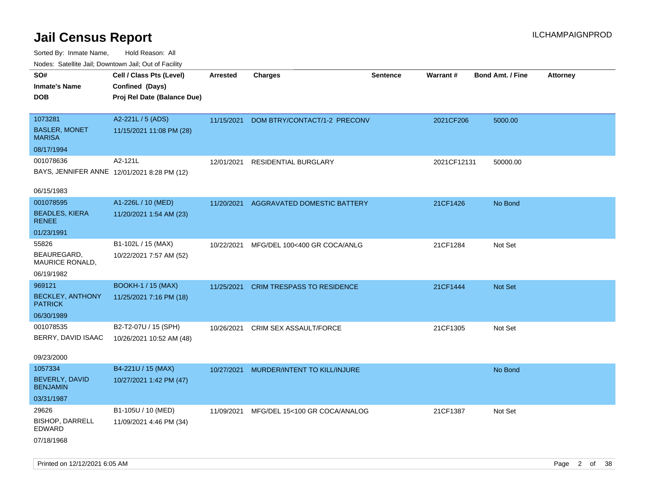| Nudes. Satellite Jali, Downtown Jali, Out of Facility<br>SO# | Cell / Class Pts (Level)                    | <b>Arrested</b> | <b>Charges</b>                | <b>Sentence</b> | <b>Warrant#</b> | <b>Bond Amt. / Fine</b> | <b>Attorney</b> |
|--------------------------------------------------------------|---------------------------------------------|-----------------|-------------------------------|-----------------|-----------------|-------------------------|-----------------|
| <b>Inmate's Name</b>                                         | Confined (Days)                             |                 |                               |                 |                 |                         |                 |
| <b>DOB</b>                                                   | Proj Rel Date (Balance Due)                 |                 |                               |                 |                 |                         |                 |
|                                                              |                                             |                 |                               |                 |                 |                         |                 |
| 1073281                                                      | A2-221L / 5 (ADS)                           | 11/15/2021      | DOM BTRY/CONTACT/1-2 PRECONV  |                 | 2021CF206       | 5000.00                 |                 |
| <b>BASLER, MONET</b><br><b>MARISA</b>                        | 11/15/2021 11:08 PM (28)                    |                 |                               |                 |                 |                         |                 |
| 08/17/1994                                                   |                                             |                 |                               |                 |                 |                         |                 |
| 001078636                                                    | A2-121L                                     | 12/01/2021      | RESIDENTIAL BURGLARY          |                 | 2021CF12131     | 50000.00                |                 |
|                                                              | BAYS, JENNIFER ANNE 12/01/2021 8:28 PM (12) |                 |                               |                 |                 |                         |                 |
| 06/15/1983                                                   |                                             |                 |                               |                 |                 |                         |                 |
| 001078595                                                    | A1-226L / 10 (MED)                          | 11/20/2021      | AGGRAVATED DOMESTIC BATTERY   |                 | 21CF1426        | No Bond                 |                 |
| <b>BEADLES, KIERA</b><br><b>RENEE</b>                        | 11/20/2021 1:54 AM (23)                     |                 |                               |                 |                 |                         |                 |
| 01/23/1991                                                   |                                             |                 |                               |                 |                 |                         |                 |
| 55826                                                        | B1-102L / 15 (MAX)                          | 10/22/2021      | MFG/DEL 100<400 GR COCA/ANLG  |                 | 21CF1284        | Not Set                 |                 |
| BEAUREGARD,<br>MAURICE RONALD,                               | 10/22/2021 7:57 AM (52)                     |                 |                               |                 |                 |                         |                 |
| 06/19/1982                                                   |                                             |                 |                               |                 |                 |                         |                 |
| 969121                                                       | <b>BOOKH-1 / 15 (MAX)</b>                   | 11/25/2021      | CRIM TRESPASS TO RESIDENCE    |                 | 21CF1444        | <b>Not Set</b>          |                 |
| <b>BECKLEY, ANTHONY</b><br><b>PATRICK</b>                    | 11/25/2021 7:16 PM (18)                     |                 |                               |                 |                 |                         |                 |
| 06/30/1989                                                   |                                             |                 |                               |                 |                 |                         |                 |
| 001078535                                                    | B2-T2-07U / 15 (SPH)                        | 10/26/2021      | CRIM SEX ASSAULT/FORCE        |                 | 21CF1305        | Not Set                 |                 |
| BERRY, DAVID ISAAC                                           | 10/26/2021 10:52 AM (48)                    |                 |                               |                 |                 |                         |                 |
| 09/23/2000                                                   |                                             |                 |                               |                 |                 |                         |                 |
| 1057334                                                      | B4-221U / 15 (MAX)                          | 10/27/2021      | MURDER/INTENT TO KILL/INJURE  |                 |                 | No Bond                 |                 |
| BEVERLY, DAVID<br><b>BENJAMIN</b>                            | 10/27/2021 1:42 PM (47)                     |                 |                               |                 |                 |                         |                 |
| 03/31/1987                                                   |                                             |                 |                               |                 |                 |                         |                 |
| 29626                                                        | B1-105U / 10 (MED)                          | 11/09/2021      | MFG/DEL 15<100 GR COCA/ANALOG |                 | 21CF1387        | Not Set                 |                 |
| <b>BISHOP, DARRELL</b><br>EDWARD                             | 11/09/2021 4:46 PM (34)                     |                 |                               |                 |                 |                         |                 |
| 07/18/1968                                                   |                                             |                 |                               |                 |                 |                         |                 |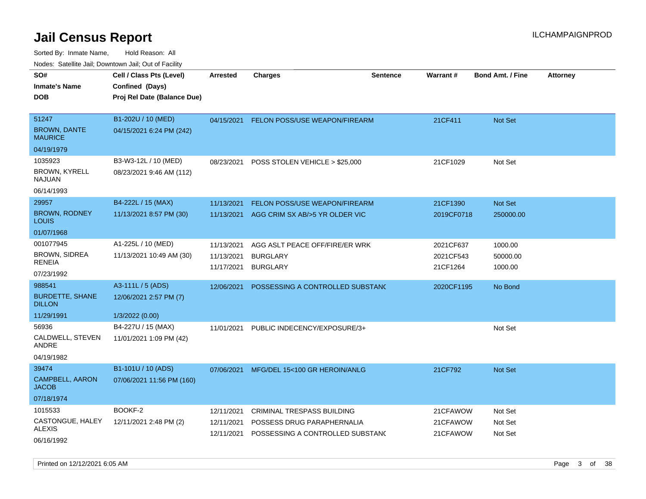| ivouss. Satellite Jali, Downtown Jali, Out of Facility |                             |            |                                  |                 |                 |                         |                 |
|--------------------------------------------------------|-----------------------------|------------|----------------------------------|-----------------|-----------------|-------------------------|-----------------|
| SO#                                                    | Cell / Class Pts (Level)    | Arrested   | Charges                          | <b>Sentence</b> | <b>Warrant#</b> | <b>Bond Amt. / Fine</b> | <b>Attorney</b> |
| Inmate's Name                                          | Confined (Days)             |            |                                  |                 |                 |                         |                 |
| <b>DOB</b>                                             | Proj Rel Date (Balance Due) |            |                                  |                 |                 |                         |                 |
|                                                        |                             |            |                                  |                 |                 |                         |                 |
| 51247                                                  | B1-202U / 10 (MED)          | 04/15/2021 | FELON POSS/USE WEAPON/FIREARM    |                 | 21CF411         | <b>Not Set</b>          |                 |
| <b>BROWN, DANTE</b><br>MAURICE                         | 04/15/2021 6:24 PM (242)    |            |                                  |                 |                 |                         |                 |
| 04/19/1979                                             |                             |            |                                  |                 |                 |                         |                 |
| 1035923                                                | B3-W3-12L / 10 (MED)        | 08/23/2021 | POSS STOLEN VEHICLE > \$25,000   |                 | 21CF1029        | Not Set                 |                 |
| BROWN, KYRELL<br>NAJUAN                                | 08/23/2021 9:46 AM (112)    |            |                                  |                 |                 |                         |                 |
| 06/14/1993                                             |                             |            |                                  |                 |                 |                         |                 |
| 29957                                                  | B4-222L / 15 (MAX)          | 11/13/2021 | FELON POSS/USE WEAPON/FIREARM    |                 | 21CF1390        | <b>Not Set</b>          |                 |
| <b>BROWN, RODNEY</b><br>LOUIS                          | 11/13/2021 8:57 PM (30)     | 11/13/2021 | AGG CRIM SX AB/>5 YR OLDER VIC   |                 | 2019CF0718      | 250000.00               |                 |
| 01/07/1968                                             |                             |            |                                  |                 |                 |                         |                 |
| 001077945                                              | A1-225L / 10 (MED)          | 11/13/2021 | AGG ASLT PEACE OFF/FIRE/ER WRK   |                 | 2021CF637       | 1000.00                 |                 |
| BROWN, SIDREA                                          | 11/13/2021 10:49 AM (30)    | 11/13/2021 | <b>BURGLARY</b>                  |                 | 2021CF543       | 50000.00                |                 |
| RENEIA                                                 |                             | 11/17/2021 | <b>BURGLARY</b>                  |                 | 21CF1264        | 1000.00                 |                 |
| 07/23/1992                                             |                             |            |                                  |                 |                 |                         |                 |
| 988541                                                 | A3-111L / 5 (ADS)           | 12/06/2021 | POSSESSING A CONTROLLED SUBSTAND |                 | 2020CF1195      | No Bond                 |                 |
| BURDETTE, SHANE<br><b>DILLON</b>                       | 12/06/2021 2:57 PM (7)      |            |                                  |                 |                 |                         |                 |
| 11/29/1991                                             | 1/3/2022 (0.00)             |            |                                  |                 |                 |                         |                 |
| 56936                                                  | B4-227U / 15 (MAX)          | 11/01/2021 | PUBLIC INDECENCY/EXPOSURE/3+     |                 |                 | Not Set                 |                 |
| CALDWELL, STEVEN<br>ANDRE                              | 11/01/2021 1:09 PM (42)     |            |                                  |                 |                 |                         |                 |
| 04/19/1982                                             |                             |            |                                  |                 |                 |                         |                 |
| 39474                                                  | B1-101U / 10 (ADS)          | 07/06/2021 | MFG/DEL 15<100 GR HEROIN/ANLG    |                 | 21CF792         | <b>Not Set</b>          |                 |
| CAMPBELL, AARON<br>JACOB                               | 07/06/2021 11:56 PM (160)   |            |                                  |                 |                 |                         |                 |
| 07/18/1974                                             |                             |            |                                  |                 |                 |                         |                 |
| 1015533                                                | BOOKF-2                     | 12/11/2021 | CRIMINAL TRESPASS BUILDING       |                 | 21CFAWOW        | Not Set                 |                 |
| CASTONGUE, HALEY<br>ALEXIS                             | 12/11/2021 2:48 PM (2)      | 12/11/2021 | POSSESS DRUG PARAPHERNALIA       |                 | 21CFAWOW        | Not Set                 |                 |
| 06/16/1992                                             |                             | 12/11/2021 | POSSESSING A CONTROLLED SUBSTAND |                 | 21CFAWOW        | Not Set                 |                 |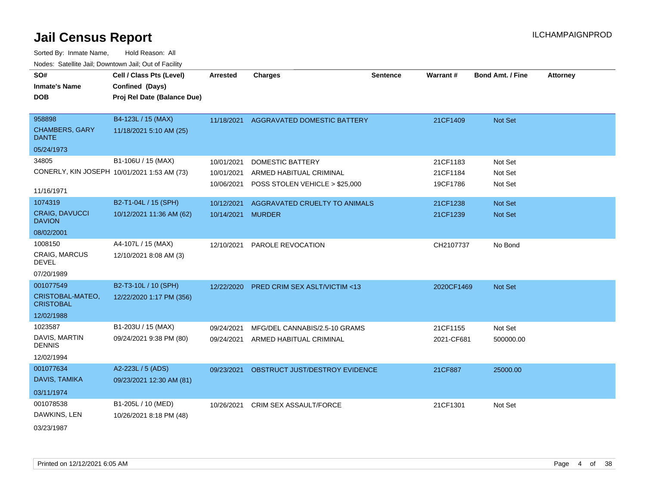Sorted By: Inmate Name, Hold Reason: All Nodes: Satellite Jail; Downtown Jail; Out of Facility

| SO#<br><b>Inmate's Name</b><br><b>DOB</b>                          | Cell / Class Pts (Level)<br>Confined (Days)<br>Proj Rel Date (Balance Due) | <b>Arrested</b>                        | <b>Charges</b>                                                                       | <b>Sentence</b> | <b>Warrant#</b>                  | <b>Bond Amt. / Fine</b>          | <b>Attorney</b> |
|--------------------------------------------------------------------|----------------------------------------------------------------------------|----------------------------------------|--------------------------------------------------------------------------------------|-----------------|----------------------------------|----------------------------------|-----------------|
| 958898<br><b>CHAMBERS, GARY</b><br><b>DANTE</b>                    | B4-123L / 15 (MAX)<br>11/18/2021 5:10 AM (25)                              | 11/18/2021                             | AGGRAVATED DOMESTIC BATTERY                                                          |                 | 21CF1409                         | Not Set                          |                 |
| 05/24/1973                                                         |                                                                            |                                        |                                                                                      |                 |                                  |                                  |                 |
| 34805<br>CONERLY, KIN JOSEPH 10/01/2021 1:53 AM (73)<br>11/16/1971 | B1-106U / 15 (MAX)                                                         | 10/01/2021<br>10/01/2021<br>10/06/2021 | <b>DOMESTIC BATTERY</b><br>ARMED HABITUAL CRIMINAL<br>POSS STOLEN VEHICLE > \$25,000 |                 | 21CF1183<br>21CF1184<br>19CF1786 | Not Set<br>Not Set<br>Not Set    |                 |
| 1074319<br><b>CRAIG, DAVUCCI</b><br><b>DAVION</b><br>08/02/2001    | B2-T1-04L / 15 (SPH)<br>10/12/2021 11:36 AM (62)                           | 10/12/2021<br>10/14/2021               | AGGRAVATED CRUELTY TO ANIMALS<br><b>MURDER</b>                                       |                 | 21CF1238<br>21CF1239             | <b>Not Set</b><br><b>Not Set</b> |                 |
| 1008150<br>CRAIG, MARCUS<br><b>DEVEL</b><br>07/20/1989             | A4-107L / 15 (MAX)<br>12/10/2021 8:08 AM (3)                               | 12/10/2021                             | PAROLE REVOCATION                                                                    |                 | CH2107737                        | No Bond                          |                 |
| 001077549<br>CRISTOBAL-MATEO,<br><b>CRISTOBAL</b><br>12/02/1988    | B2-T3-10L / 10 (SPH)<br>12/22/2020 1:17 PM (356)                           | 12/22/2020                             | <b>PRED CRIM SEX ASLT/VICTIM &lt;13</b>                                              |                 | 2020CF1469                       | <b>Not Set</b>                   |                 |
| 1023587<br>DAVIS, MARTIN<br><b>DENNIS</b><br>12/02/1994            | B1-203U / 15 (MAX)<br>09/24/2021 9:38 PM (80)                              | 09/24/2021<br>09/24/2021               | MFG/DEL CANNABIS/2.5-10 GRAMS<br>ARMED HABITUAL CRIMINAL                             |                 | 21CF1155<br>2021-CF681           | Not Set<br>500000.00             |                 |
| 001077634<br>DAVIS, TAMIKA<br>03/11/1974                           | A2-223L / 5 (ADS)<br>09/23/2021 12:30 AM (81)                              | 09/23/2021                             | OBSTRUCT JUST/DESTROY EVIDENCE                                                       |                 | 21CF887                          | 25000.00                         |                 |
| 001078538<br>DAWKINS, LEN<br>02/22/1027                            | B1-205L / 10 (MED)<br>10/26/2021 8:18 PM (48)                              | 10/26/2021                             | <b>CRIM SEX ASSAULT/FORCE</b>                                                        |                 | 21CF1301                         | Not Set                          |                 |

03/23/1987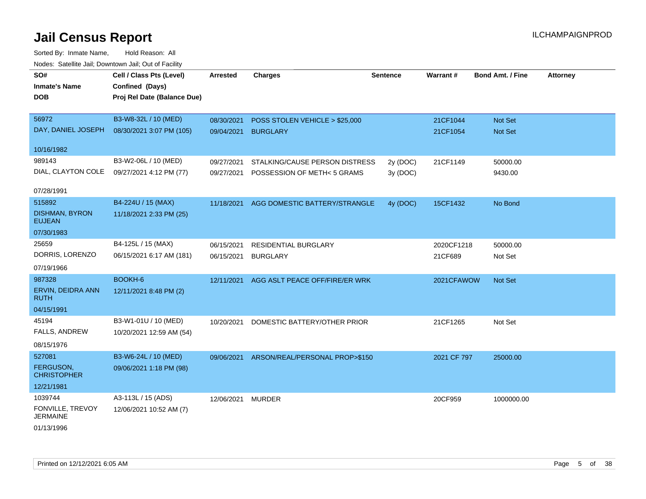| roado. Catomio can, Bomnomi can, Cat or Fabilit |                             |                 |                                           |                 |                 |                         |                 |
|-------------------------------------------------|-----------------------------|-----------------|-------------------------------------------|-----------------|-----------------|-------------------------|-----------------|
| SO#                                             | Cell / Class Pts (Level)    | <b>Arrested</b> | <b>Charges</b>                            | <b>Sentence</b> | <b>Warrant#</b> | <b>Bond Amt. / Fine</b> | <b>Attorney</b> |
| <b>Inmate's Name</b>                            | Confined (Days)             |                 |                                           |                 |                 |                         |                 |
| <b>DOB</b>                                      | Proj Rel Date (Balance Due) |                 |                                           |                 |                 |                         |                 |
|                                                 |                             |                 |                                           |                 |                 |                         |                 |
| 56972                                           | B3-W8-32L / 10 (MED)        | 08/30/2021      | POSS STOLEN VEHICLE > \$25,000            |                 | 21CF1044        | Not Set                 |                 |
| DAY, DANIEL JOSEPH                              | 08/30/2021 3:07 PM (105)    | 09/04/2021      | <b>BURGLARY</b>                           |                 | 21CF1054        | Not Set                 |                 |
| 10/16/1982                                      |                             |                 |                                           |                 |                 |                         |                 |
| 989143                                          | B3-W2-06L / 10 (MED)        | 09/27/2021      | STALKING/CAUSE PERSON DISTRESS            | 2y (DOC)        | 21CF1149        | 50000.00                |                 |
| DIAL, CLAYTON COLE                              | 09/27/2021 4:12 PM (77)     | 09/27/2021      | POSSESSION OF METH< 5 GRAMS               | 3y (DOC)        |                 | 9430.00                 |                 |
|                                                 |                             |                 |                                           |                 |                 |                         |                 |
| 07/28/1991                                      |                             |                 |                                           |                 |                 |                         |                 |
| 515892                                          | B4-224U / 15 (MAX)          |                 | 11/18/2021 AGG DOMESTIC BATTERY/STRANGLE  | 4y (DOC)        | 15CF1432        | No Bond                 |                 |
| <b>DISHMAN, BYRON</b><br><b>EUJEAN</b>          | 11/18/2021 2:33 PM (25)     |                 |                                           |                 |                 |                         |                 |
| 07/30/1983                                      |                             |                 |                                           |                 |                 |                         |                 |
| 25659                                           | B4-125L / 15 (MAX)          | 06/15/2021      | <b>RESIDENTIAL BURGLARY</b>               |                 | 2020CF1218      | 50000.00                |                 |
| DORRIS, LORENZO                                 | 06/15/2021 6:17 AM (181)    | 06/15/2021      | <b>BURGLARY</b>                           |                 | 21CF689         | Not Set                 |                 |
| 07/19/1966                                      |                             |                 |                                           |                 |                 |                         |                 |
| 987328                                          | BOOKH-6                     |                 | 12/11/2021 AGG ASLT PEACE OFF/FIRE/ER WRK |                 | 2021CFAWOW      | Not Set                 |                 |
| ERVIN, DEIDRA ANN                               | 12/11/2021 8:48 PM (2)      |                 |                                           |                 |                 |                         |                 |
| <b>RUTH</b>                                     |                             |                 |                                           |                 |                 |                         |                 |
| 04/15/1991                                      |                             |                 |                                           |                 |                 |                         |                 |
| 45194                                           | B3-W1-01U / 10 (MED)        | 10/20/2021      | DOMESTIC BATTERY/OTHER PRIOR              |                 | 21CF1265        | Not Set                 |                 |
| FALLS, ANDREW                                   | 10/20/2021 12:59 AM (54)    |                 |                                           |                 |                 |                         |                 |
| 08/15/1976                                      |                             |                 |                                           |                 |                 |                         |                 |
| 527081                                          | B3-W6-24L / 10 (MED)        | 09/06/2021      | ARSON/REAL/PERSONAL PROP>\$150            |                 | 2021 CF 797     | 25000.00                |                 |
| FERGUSON,                                       | 09/06/2021 1:18 PM (98)     |                 |                                           |                 |                 |                         |                 |
| <b>CHRISTOPHER</b>                              |                             |                 |                                           |                 |                 |                         |                 |
| 12/21/1981                                      |                             |                 |                                           |                 |                 |                         |                 |
| 1039744                                         | A3-113L / 15 (ADS)          | 12/06/2021      | <b>MURDER</b>                             |                 | 20CF959         | 1000000.00              |                 |
| FONVILLE, TREVOY<br><b>JERMAINE</b>             | 12/06/2021 10:52 AM (7)     |                 |                                           |                 |                 |                         |                 |
| 01/13/1996                                      |                             |                 |                                           |                 |                 |                         |                 |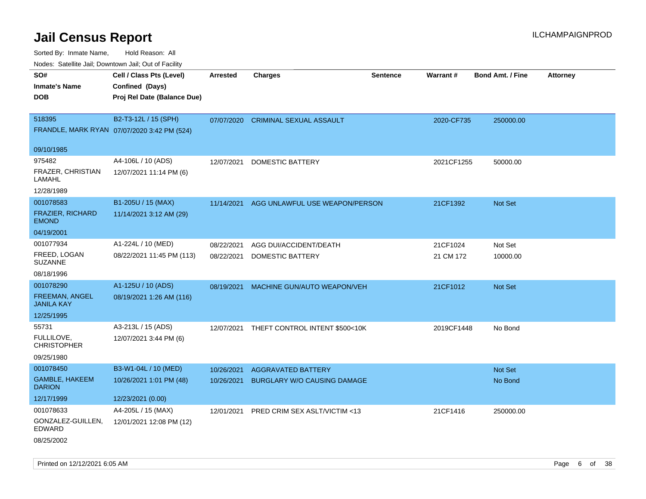Sorted By: Inmate Name, Hold Reason: All

| Nodes: Satellite Jail; Downtown Jail; Out of Facility |                                             |                 |                                           |                 |            |                  |                 |
|-------------------------------------------------------|---------------------------------------------|-----------------|-------------------------------------------|-----------------|------------|------------------|-----------------|
| SO#                                                   | Cell / Class Pts (Level)                    | <b>Arrested</b> | <b>Charges</b>                            | <b>Sentence</b> | Warrant#   | Bond Amt. / Fine | <b>Attorney</b> |
| <b>Inmate's Name</b>                                  | Confined (Days)                             |                 |                                           |                 |            |                  |                 |
| <b>DOB</b>                                            | Proj Rel Date (Balance Due)                 |                 |                                           |                 |            |                  |                 |
|                                                       |                                             |                 |                                           |                 |            |                  |                 |
| 518395                                                | B2-T3-12L / 15 (SPH)                        | 07/07/2020      | <b>CRIMINAL SEXUAL ASSAULT</b>            |                 | 2020-CF735 | 250000.00        |                 |
|                                                       | FRANDLE, MARK RYAN 07/07/2020 3:42 PM (524) |                 |                                           |                 |            |                  |                 |
| 09/10/1985                                            |                                             |                 |                                           |                 |            |                  |                 |
| 975482                                                | A4-106L / 10 (ADS)                          | 12/07/2021      | DOMESTIC BATTERY                          |                 | 2021CF1255 | 50000.00         |                 |
| FRAZER, CHRISTIAN<br>LAMAHL                           | 12/07/2021 11:14 PM (6)                     |                 |                                           |                 |            |                  |                 |
| 12/28/1989                                            |                                             |                 |                                           |                 |            |                  |                 |
| 001078583                                             | B1-205U / 15 (MAX)                          | 11/14/2021      | AGG UNLAWFUL USE WEAPON/PERSON            |                 | 21CF1392   | Not Set          |                 |
| FRAZIER, RICHARD<br><b>EMOND</b>                      | 11/14/2021 3:12 AM (29)                     |                 |                                           |                 |            |                  |                 |
| 04/19/2001                                            |                                             |                 |                                           |                 |            |                  |                 |
| 001077934                                             | A1-224L / 10 (MED)                          | 08/22/2021      | AGG DUI/ACCIDENT/DEATH                    |                 | 21CF1024   | Not Set          |                 |
| FREED, LOGAN<br><b>SUZANNE</b>                        | 08/22/2021 11:45 PM (113)                   | 08/22/2021      | <b>DOMESTIC BATTERY</b>                   |                 | 21 CM 172  | 10000.00         |                 |
| 08/18/1996                                            |                                             |                 |                                           |                 |            |                  |                 |
| 001078290                                             | A1-125U / 10 (ADS)                          | 08/19/2021      | MACHINE GUN/AUTO WEAPON/VEH               |                 | 21CF1012   | Not Set          |                 |
| <b>FREEMAN, ANGEL</b><br><b>JANILA KAY</b>            | 08/19/2021 1:26 AM (116)                    |                 |                                           |                 |            |                  |                 |
| 12/25/1995                                            |                                             |                 |                                           |                 |            |                  |                 |
| 55731                                                 | A3-213L / 15 (ADS)                          |                 | 12/07/2021 THEFT CONTROL INTENT \$500<10K |                 | 2019CF1448 | No Bond          |                 |
| FULLILOVE,<br><b>CHRISTOPHER</b>                      | 12/07/2021 3:44 PM (6)                      |                 |                                           |                 |            |                  |                 |
| 09/25/1980                                            |                                             |                 |                                           |                 |            |                  |                 |
| 001078450                                             | B3-W1-04L / 10 (MED)                        | 10/26/2021      | <b>AGGRAVATED BATTERY</b>                 |                 |            | Not Set          |                 |
| GAMBLE, HAKEEM<br><b>DARION</b>                       | 10/26/2021 1:01 PM (48)                     | 10/26/2021      | <b>BURGLARY W/O CAUSING DAMAGE</b>        |                 |            | No Bond          |                 |
| 12/17/1999                                            | 12/23/2021 (0.00)                           |                 |                                           |                 |            |                  |                 |
| 001078633                                             | A4-205L / 15 (MAX)                          | 12/01/2021      | PRED CRIM SEX ASLT/VICTIM <13             |                 | 21CF1416   | 250000.00        |                 |
| GONZALEZ-GUILLEN,<br><b>EDWARD</b>                    | 12/01/2021 12:08 PM (12)                    |                 |                                           |                 |            |                  |                 |
| 08/25/2002                                            |                                             |                 |                                           |                 |            |                  |                 |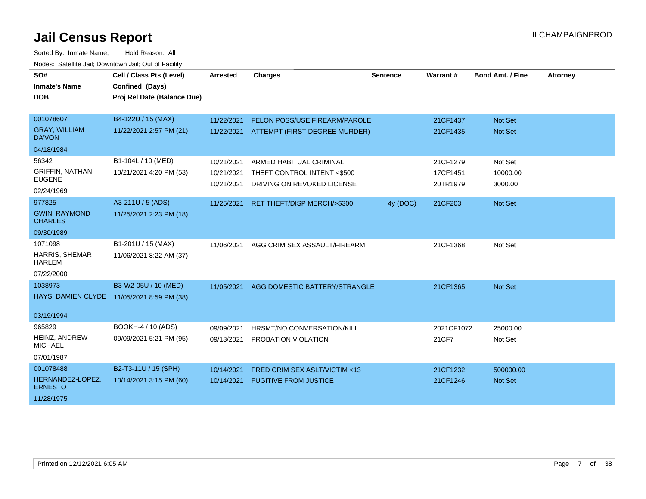| SO#<br><b>Inmate's Name</b><br><b>DOB</b> | Cell / Class Pts (Level)<br>Confined (Days)<br>Proj Rel Date (Balance Due) | <b>Arrested</b> | <b>Charges</b>                          | <b>Sentence</b> | Warrant#   | <b>Bond Amt. / Fine</b> | <b>Attorney</b> |
|-------------------------------------------|----------------------------------------------------------------------------|-----------------|-----------------------------------------|-----------------|------------|-------------------------|-----------------|
|                                           |                                                                            |                 |                                         |                 |            |                         |                 |
| 001078607                                 | B4-122U / 15 (MAX)                                                         | 11/22/2021      | FELON POSS/USE FIREARM/PAROLE           |                 | 21CF1437   | Not Set                 |                 |
| <b>GRAY, WILLIAM</b><br><b>DA'VON</b>     | 11/22/2021 2:57 PM (21)                                                    | 11/22/2021      | ATTEMPT (FIRST DEGREE MURDER)           |                 | 21CF1435   | <b>Not Set</b>          |                 |
| 04/18/1984                                |                                                                            |                 |                                         |                 |            |                         |                 |
| 56342                                     | B1-104L / 10 (MED)                                                         | 10/21/2021      | ARMED HABITUAL CRIMINAL                 |                 | 21CF1279   | Not Set                 |                 |
| <b>GRIFFIN, NATHAN</b><br><b>EUGENE</b>   | 10/21/2021 4:20 PM (53)                                                    | 10/21/2021      | THEFT CONTROL INTENT <\$500             |                 | 17CF1451   | 10000.00                |                 |
| 02/24/1969                                |                                                                            | 10/21/2021      | DRIVING ON REVOKED LICENSE              |                 | 20TR1979   | 3000.00                 |                 |
| 977825                                    | A3-211U / 5 (ADS)                                                          | 11/25/2021      | RET THEFT/DISP MERCH/>\$300             | 4y (DOC)        | 21CF203    | Not Set                 |                 |
| <b>GWIN, RAYMOND</b><br><b>CHARLES</b>    | 11/25/2021 2:23 PM (18)                                                    |                 |                                         |                 |            |                         |                 |
| 09/30/1989                                |                                                                            |                 |                                         |                 |            |                         |                 |
| 1071098                                   | B1-201U / 15 (MAX)                                                         | 11/06/2021      | AGG CRIM SEX ASSAULT/FIREARM            |                 | 21CF1368   | Not Set                 |                 |
| HARRIS, SHEMAR<br><b>HARLEM</b>           | 11/06/2021 8:22 AM (37)                                                    |                 |                                         |                 |            |                         |                 |
| 07/22/2000                                |                                                                            |                 |                                         |                 |            |                         |                 |
| 1038973                                   | B3-W2-05U / 10 (MED)                                                       | 11/05/2021      | AGG DOMESTIC BATTERY/STRANGLE           |                 | 21CF1365   | Not Set                 |                 |
|                                           | HAYS, DAMIEN CLYDE 11/05/2021 8:59 PM (38)                                 |                 |                                         |                 |            |                         |                 |
| 03/19/1994                                |                                                                            |                 |                                         |                 |            |                         |                 |
| 965829                                    | BOOKH-4 / 10 (ADS)                                                         | 09/09/2021      | HRSMT/NO CONVERSATION/KILL              |                 | 2021CF1072 | 25000.00                |                 |
| HEINZ, ANDREW<br><b>MICHAEL</b>           | 09/09/2021 5:21 PM (95)                                                    | 09/13/2021      | PROBATION VIOLATION                     |                 | 21CF7      | Not Set                 |                 |
| 07/01/1987                                |                                                                            |                 |                                         |                 |            |                         |                 |
| 001078488                                 | B2-T3-11U / 15 (SPH)                                                       | 10/14/2021      | <b>PRED CRIM SEX ASLT/VICTIM &lt;13</b> |                 | 21CF1232   | 500000.00               |                 |
| HERNANDEZ-LOPEZ,<br><b>ERNESTO</b>        | 10/14/2021 3:15 PM (60)                                                    | 10/14/2021      | <b>FUGITIVE FROM JUSTICE</b>            |                 | 21CF1246   | <b>Not Set</b>          |                 |
| 11/28/1975                                |                                                                            |                 |                                         |                 |            |                         |                 |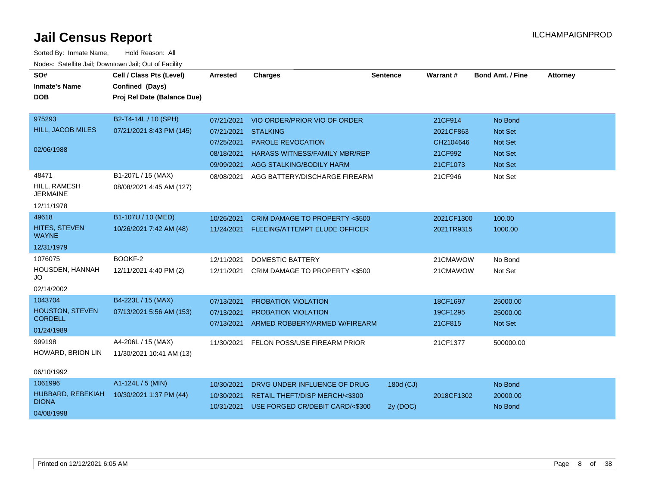| SO#<br><b>Inmate's Name</b>       | Cell / Class Pts (Level)                       | <b>Arrested</b>     | <b>Charges</b>                             | <b>Sentence</b> | Warrant#   | <b>Bond Amt. / Fine</b> | <b>Attorney</b> |
|-----------------------------------|------------------------------------------------|---------------------|--------------------------------------------|-----------------|------------|-------------------------|-----------------|
| <b>DOB</b>                        | Confined (Days)<br>Proj Rel Date (Balance Due) |                     |                                            |                 |            |                         |                 |
|                                   |                                                |                     |                                            |                 |            |                         |                 |
| 975293                            | B2-T4-14L / 10 (SPH)                           | 07/21/2021          | VIO ORDER/PRIOR VIO OF ORDER               |                 | 21CF914    | No Bond                 |                 |
| HILL, JACOB MILES                 | 07/21/2021 8:43 PM (145)                       | 07/21/2021 STALKING |                                            |                 | 2021CF863  | Not Set                 |                 |
|                                   |                                                | 07/25/2021          | <b>PAROLE REVOCATION</b>                   |                 | CH2104646  | <b>Not Set</b>          |                 |
| 02/06/1988                        |                                                | 08/18/2021          | <b>HARASS WITNESS/FAMILY MBR/REP</b>       |                 | 21CF992    | <b>Not Set</b>          |                 |
|                                   |                                                |                     | 09/09/2021 AGG STALKING/BODILY HARM        |                 | 21CF1073   | Not Set                 |                 |
| 48471                             | B1-207L / 15 (MAX)                             | 08/08/2021          | AGG BATTERY/DISCHARGE FIREARM              |                 | 21CF946    | Not Set                 |                 |
| HILL, RAMESH<br><b>JERMAINE</b>   | 08/08/2021 4:45 AM (127)                       |                     |                                            |                 |            |                         |                 |
| 12/11/1978                        |                                                |                     |                                            |                 |            |                         |                 |
| 49618                             | B1-107U / 10 (MED)                             | 10/26/2021          | CRIM DAMAGE TO PROPERTY <\$500             |                 | 2021CF1300 | 100.00                  |                 |
| HITES, STEVEN<br><b>WAYNE</b>     | 10/26/2021 7:42 AM (48)                        |                     | 11/24/2021 FLEEING/ATTEMPT ELUDE OFFICER   |                 | 2021TR9315 | 1000.00                 |                 |
| 12/31/1979                        |                                                |                     |                                            |                 |            |                         |                 |
| 1076075                           | BOOKF-2                                        | 12/11/2021          | <b>DOMESTIC BATTERY</b>                    |                 | 21CMAWOW   | No Bond                 |                 |
| HOUSDEN, HANNAH<br>JO             | 12/11/2021 4:40 PM (2)                         | 12/11/2021          | CRIM DAMAGE TO PROPERTY <\$500             |                 | 21CMAWOW   | Not Set                 |                 |
| 02/14/2002                        |                                                |                     |                                            |                 |            |                         |                 |
| 1043704                           | B4-223L / 15 (MAX)                             | 07/13/2021          | PROBATION VIOLATION                        |                 | 18CF1697   | 25000.00                |                 |
| <b>HOUSTON, STEVEN</b>            | 07/13/2021 5:56 AM (153)                       | 07/13/2021          | <b>PROBATION VIOLATION</b>                 |                 | 19CF1295   | 25000.00                |                 |
| <b>CORDELL</b>                    |                                                |                     | 07/13/2021 ARMED ROBBERY/ARMED W/FIREARM   |                 | 21CF815    | Not Set                 |                 |
| 01/24/1989                        |                                                |                     |                                            |                 |            |                         |                 |
| 999198                            | A4-206L / 15 (MAX)                             | 11/30/2021          | FELON POSS/USE FIREARM PRIOR               |                 | 21CF1377   | 500000.00               |                 |
| HOWARD, BRION LIN                 | 11/30/2021 10:41 AM (13)                       |                     |                                            |                 |            |                         |                 |
| 06/10/1992                        |                                                |                     |                                            |                 |            |                         |                 |
| 1061996                           | A1-124L / 5 (MIN)                              | 10/30/2021          | DRVG UNDER INFLUENCE OF DRUG               | 180d (CJ)       |            | No Bond                 |                 |
| HUBBARD, REBEKIAH<br><b>DIONA</b> | 10/30/2021 1:37 PM (44)                        | 10/30/2021          | RETAIL THEFT/DISP MERCH/<\$300             |                 | 2018CF1302 | 20000.00                |                 |
| 04/08/1998                        |                                                |                     | 10/31/2021 USE FORGED CR/DEBIT CARD/<\$300 | 2y (DOC)        |            | No Bond                 |                 |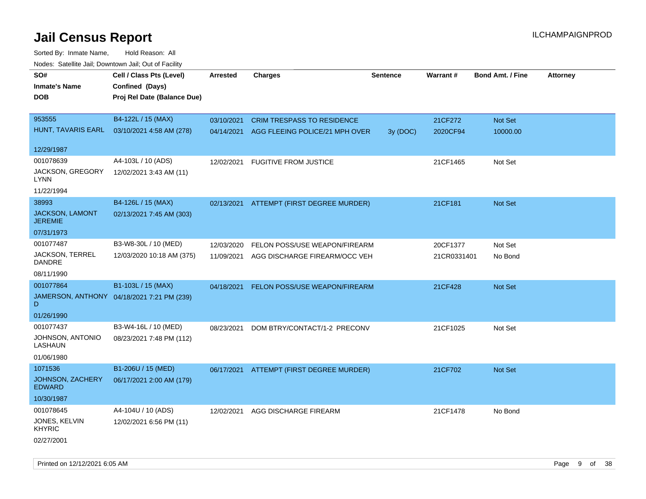| roaco. Catolino dall, Downtown dall, Out of Fability |                                            |                 |                                           |                 |             |                         |                 |
|------------------------------------------------------|--------------------------------------------|-----------------|-------------------------------------------|-----------------|-------------|-------------------------|-----------------|
| SO#                                                  | Cell / Class Pts (Level)                   | <b>Arrested</b> | <b>Charges</b>                            | <b>Sentence</b> | Warrant#    | <b>Bond Amt. / Fine</b> | <b>Attorney</b> |
| <b>Inmate's Name</b>                                 | Confined (Days)                            |                 |                                           |                 |             |                         |                 |
| <b>DOB</b>                                           | Proj Rel Date (Balance Due)                |                 |                                           |                 |             |                         |                 |
|                                                      |                                            |                 |                                           |                 |             |                         |                 |
| 953555                                               | B4-122L / 15 (MAX)                         | 03/10/2021      | <b>CRIM TRESPASS TO RESIDENCE</b>         |                 | 21CF272     | Not Set                 |                 |
| HUNT, TAVARIS EARL                                   | 03/10/2021 4:58 AM (278)                   |                 | 04/14/2021 AGG FLEEING POLICE/21 MPH OVER | 3y (DOC)        | 2020CF94    | 10000.00                |                 |
|                                                      |                                            |                 |                                           |                 |             |                         |                 |
| 12/29/1987                                           |                                            |                 |                                           |                 |             |                         |                 |
| 001078639                                            | A4-103L / 10 (ADS)                         | 12/02/2021      | <b>FUGITIVE FROM JUSTICE</b>              |                 | 21CF1465    | Not Set                 |                 |
| JACKSON, GREGORY<br>LYNN                             | 12/02/2021 3:43 AM (11)                    |                 |                                           |                 |             |                         |                 |
| 11/22/1994                                           |                                            |                 |                                           |                 |             |                         |                 |
| 38993                                                | B4-126L / 15 (MAX)                         |                 | 02/13/2021 ATTEMPT (FIRST DEGREE MURDER)  |                 | 21CF181     | Not Set                 |                 |
| JACKSON, LAMONT<br><b>JEREMIE</b>                    | 02/13/2021 7:45 AM (303)                   |                 |                                           |                 |             |                         |                 |
| 07/31/1973                                           |                                            |                 |                                           |                 |             |                         |                 |
| 001077487                                            | B3-W8-30L / 10 (MED)                       | 12/03/2020      | FELON POSS/USE WEAPON/FIREARM             |                 | 20CF1377    | Not Set                 |                 |
| JACKSON, TERREL<br><b>DANDRE</b>                     | 12/03/2020 10:18 AM (375)                  | 11/09/2021      | AGG DISCHARGE FIREARM/OCC VEH             |                 | 21CR0331401 | No Bond                 |                 |
| 08/11/1990                                           |                                            |                 |                                           |                 |             |                         |                 |
| 001077864                                            | B1-103L / 15 (MAX)                         | 04/18/2021      | FELON POSS/USE WEAPON/FIREARM             |                 | 21CF428     | Not Set                 |                 |
| D                                                    | JAMERSON, ANTHONY 04/18/2021 7:21 PM (239) |                 |                                           |                 |             |                         |                 |
| 01/26/1990                                           |                                            |                 |                                           |                 |             |                         |                 |
| 001077437                                            | B3-W4-16L / 10 (MED)                       | 08/23/2021      | DOM BTRY/CONTACT/1-2 PRECONV              |                 | 21CF1025    | Not Set                 |                 |
| JOHNSON, ANTONIO<br>LASHAUN                          | 08/23/2021 7:48 PM (112)                   |                 |                                           |                 |             |                         |                 |
| 01/06/1980                                           |                                            |                 |                                           |                 |             |                         |                 |
| 1071536                                              | B1-206U / 15 (MED)                         |                 | 06/17/2021 ATTEMPT (FIRST DEGREE MURDER)  |                 | 21CF702     | Not Set                 |                 |
| JOHNSON, ZACHERY<br><b>EDWARD</b>                    | 06/17/2021 2:00 AM (179)                   |                 |                                           |                 |             |                         |                 |
| 10/30/1987                                           |                                            |                 |                                           |                 |             |                         |                 |
| 001078645                                            | A4-104U / 10 (ADS)                         | 12/02/2021      | AGG DISCHARGE FIREARM                     |                 | 21CF1478    | No Bond                 |                 |
| JONES, KELVIN<br><b>KHYRIC</b>                       | 12/02/2021 6:56 PM (11)                    |                 |                                           |                 |             |                         |                 |
| 02/27/2001                                           |                                            |                 |                                           |                 |             |                         |                 |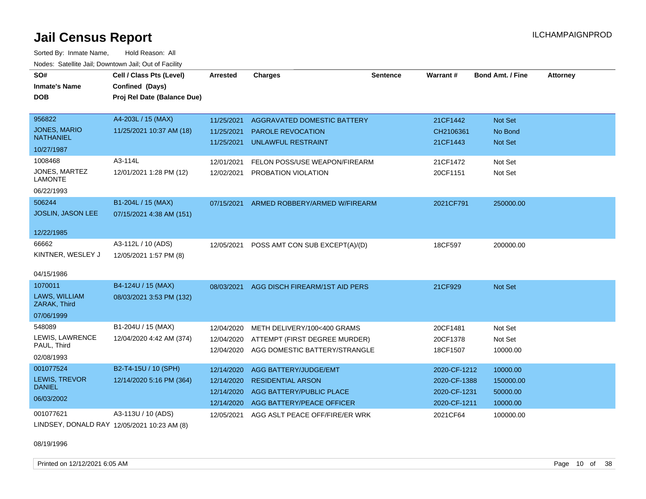Sorted By: Inmate Name, Hold Reason: All Nodes: Satellite Jail; Downtown Jail; Out of Facility

| SO#                                     | Cell / Class Pts (Level)    | Arrested   | <b>Charges</b>                 | <b>Sentence</b> | Warrant#     | <b>Bond Amt. / Fine</b> | <b>Attorney</b> |
|-----------------------------------------|-----------------------------|------------|--------------------------------|-----------------|--------------|-------------------------|-----------------|
| <b>Inmate's Name</b>                    | Confined (Days)             |            |                                |                 |              |                         |                 |
| <b>DOB</b>                              | Proj Rel Date (Balance Due) |            |                                |                 |              |                         |                 |
|                                         |                             |            |                                |                 |              |                         |                 |
| 956822                                  | A4-203L / 15 (MAX)          | 11/25/2021 | AGGRAVATED DOMESTIC BATTERY    |                 | 21CF1442     | Not Set                 |                 |
| <b>JONES, MARIO</b><br><b>NATHANIEL</b> | 11/25/2021 10:37 AM (18)    | 11/25/2021 | PAROLE REVOCATION              |                 | CH2106361    | No Bond                 |                 |
|                                         |                             | 11/25/2021 | <b>UNLAWFUL RESTRAINT</b>      |                 | 21CF1443     | <b>Not Set</b>          |                 |
| 10/27/1987                              |                             |            |                                |                 |              |                         |                 |
| 1008468                                 | A3-114L                     | 12/01/2021 | FELON POSS/USE WEAPON/FIREARM  |                 | 21CF1472     | Not Set                 |                 |
| JONES, MARTEZ<br><b>LAMONTE</b>         | 12/01/2021 1:28 PM (12)     | 12/02/2021 | PROBATION VIOLATION            |                 | 20CF1151     | Not Set                 |                 |
| 06/22/1993                              |                             |            |                                |                 |              |                         |                 |
| 506244                                  | B1-204L / 15 (MAX)          | 07/15/2021 | ARMED ROBBERY/ARMED W/FIREARM  |                 | 2021CF791    | 250000.00               |                 |
| <b>JOSLIN, JASON LEE</b>                | 07/15/2021 4:38 AM (151)    |            |                                |                 |              |                         |                 |
|                                         |                             |            |                                |                 |              |                         |                 |
| 12/22/1985                              |                             |            |                                |                 |              |                         |                 |
| 66662                                   | A3-112L / 10 (ADS)          | 12/05/2021 | POSS AMT CON SUB EXCEPT(A)/(D) |                 | 18CF597      | 200000.00               |                 |
| KINTNER, WESLEY J                       | 12/05/2021 1:57 PM (8)      |            |                                |                 |              |                         |                 |
|                                         |                             |            |                                |                 |              |                         |                 |
| 04/15/1986                              |                             |            |                                |                 |              |                         |                 |
| 1070011                                 | B4-124U / 15 (MAX)          | 08/03/2021 | AGG DISCH FIREARM/1ST AID PERS |                 | 21CF929      | Not Set                 |                 |
| LAWS, WILLIAM<br>ZARAK, Third           | 08/03/2021 3:53 PM (132)    |            |                                |                 |              |                         |                 |
| 07/06/1999                              |                             |            |                                |                 |              |                         |                 |
| 548089                                  | B1-204U / 15 (MAX)          | 12/04/2020 | METH DELIVERY/100<400 GRAMS    |                 | 20CF1481     | Not Set                 |                 |
| LEWIS, LAWRENCE                         | 12/04/2020 4:42 AM (374)    | 12/04/2020 | ATTEMPT (FIRST DEGREE MURDER)  |                 | 20CF1378     | Not Set                 |                 |
| PAUL, Third                             |                             | 12/04/2020 | AGG DOMESTIC BATTERY/STRANGLE  |                 | 18CF1507     | 10000.00                |                 |
| 02/08/1993                              |                             |            |                                |                 |              |                         |                 |
| 001077524                               | B2-T4-15U / 10 (SPH)        | 12/14/2020 | AGG BATTERY/JUDGE/EMT          |                 | 2020-CF-1212 | 10000.00                |                 |
| LEWIS, TREVOR                           | 12/14/2020 5:16 PM (364)    | 12/14/2020 | <b>RESIDENTIAL ARSON</b>       |                 | 2020-CF-1388 | 150000.00               |                 |
| <b>DANIEL</b>                           |                             | 12/14/2020 | AGG BATTERY/PUBLIC PLACE       |                 | 2020-CF-1231 | 50000.00                |                 |
| 06/03/2002                              |                             | 12/14/2020 | AGG BATTERY/PEACE OFFICER      |                 | 2020-CF-1211 | 10000.00                |                 |
| 001077621                               | A3-113U / 10 (ADS)          | 12/05/2021 | AGG ASLT PEACE OFF/FIRE/ER WRK |                 | 2021CF64     | 100000.00               |                 |
|                                         |                             |            |                                |                 |              |                         |                 |

LINDSEY, DONALD RAY 12/05/2021 10:23 AM (8)

08/19/1996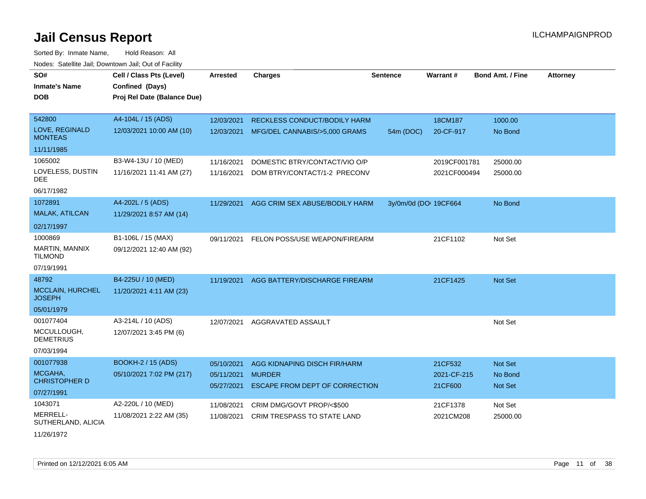| SO#                               |                             |                 |                                          |                       | Warrant#     |                         |                 |
|-----------------------------------|-----------------------------|-----------------|------------------------------------------|-----------------------|--------------|-------------------------|-----------------|
|                                   | Cell / Class Pts (Level)    | <b>Arrested</b> | <b>Charges</b>                           | <b>Sentence</b>       |              | <b>Bond Amt. / Fine</b> | <b>Attorney</b> |
| <b>Inmate's Name</b>              | Confined (Days)             |                 |                                          |                       |              |                         |                 |
| <b>DOB</b>                        | Proj Rel Date (Balance Due) |                 |                                          |                       |              |                         |                 |
|                                   |                             |                 |                                          |                       |              |                         |                 |
| 542800                            | A4-104L / 15 (ADS)          | 12/03/2021      | RECKLESS CONDUCT/BODILY HARM             |                       | 18CM187      | 1000.00                 |                 |
| LOVE, REGINALD<br><b>MONTEAS</b>  | 12/03/2021 10:00 AM (10)    |                 | 12/03/2021 MFG/DEL CANNABIS/>5,000 GRAMS | 54m (DOC)             | 20-CF-917    | No Bond                 |                 |
| 11/11/1985                        |                             |                 |                                          |                       |              |                         |                 |
| 1065002                           | B3-W4-13U / 10 (MED)        | 11/16/2021      | DOMESTIC BTRY/CONTACT/VIO O/P            |                       | 2019CF001781 | 25000.00                |                 |
| LOVELESS, DUSTIN<br><b>DEE</b>    | 11/16/2021 11:41 AM (27)    | 11/16/2021      | DOM BTRY/CONTACT/1-2 PRECONV             |                       | 2021CF000494 | 25000.00                |                 |
| 06/17/1982                        |                             |                 |                                          |                       |              |                         |                 |
| 1072891                           | A4-202L / 5 (ADS)           | 11/29/2021      | AGG CRIM SEX ABUSE/BODILY HARM           | 3y/0m/0d (DO: 19CF664 |              | No Bond                 |                 |
| MALAK, ATILCAN                    | 11/29/2021 8:57 AM (14)     |                 |                                          |                       |              |                         |                 |
| 02/17/1997                        |                             |                 |                                          |                       |              |                         |                 |
| 1000869                           | B1-106L / 15 (MAX)          | 09/11/2021      | FELON POSS/USE WEAPON/FIREARM            |                       | 21CF1102     | Not Set                 |                 |
| MARTIN, MANNIX<br><b>TILMOND</b>  | 09/12/2021 12:40 AM (92)    |                 |                                          |                       |              |                         |                 |
| 07/19/1991                        |                             |                 |                                          |                       |              |                         |                 |
| 48792                             | B4-225U / 10 (MED)          | 11/19/2021      | AGG BATTERY/DISCHARGE FIREARM            |                       | 21CF1425     | <b>Not Set</b>          |                 |
| MCCLAIN, HURCHEL<br><b>JOSEPH</b> | 11/20/2021 4:11 AM (23)     |                 |                                          |                       |              |                         |                 |
| 05/01/1979                        |                             |                 |                                          |                       |              |                         |                 |
| 001077404                         | A3-214L / 10 (ADS)          | 12/07/2021      | AGGRAVATED ASSAULT                       |                       |              | Not Set                 |                 |
| MCCULLOUGH,<br><b>DEMETRIUS</b>   | 12/07/2021 3:45 PM (6)      |                 |                                          |                       |              |                         |                 |
| 07/03/1994                        |                             |                 |                                          |                       |              |                         |                 |
| 001077938                         | <b>BOOKH-2 / 15 (ADS)</b>   | 05/10/2021      | AGG KIDNAPING DISCH FIR/HARM             |                       | 21CF532      | Not Set                 |                 |
| MCGAHA.                           | 05/10/2021 7:02 PM (217)    | 05/11/2021      | <b>MURDER</b>                            |                       | 2021-CF-215  | No Bond                 |                 |
| <b>CHRISTOPHER D</b>              |                             | 05/27/2021      | <b>ESCAPE FROM DEPT OF CORRECTION</b>    |                       | 21CF600      | Not Set                 |                 |
| 07/27/1991                        |                             |                 |                                          |                       |              |                         |                 |
| 1043071                           | A2-220L / 10 (MED)          | 11/08/2021      | CRIM DMG/GOVT PROP/<\$500                |                       | 21CF1378     | Not Set                 |                 |
| MERRELL-<br>SUTHERLAND, ALICIA    | 11/08/2021 2:22 AM (35)     | 11/08/2021      | CRIM TRESPASS TO STATE LAND              |                       | 2021CM208    | 25000.00                |                 |
| 11/26/1972                        |                             |                 |                                          |                       |              |                         |                 |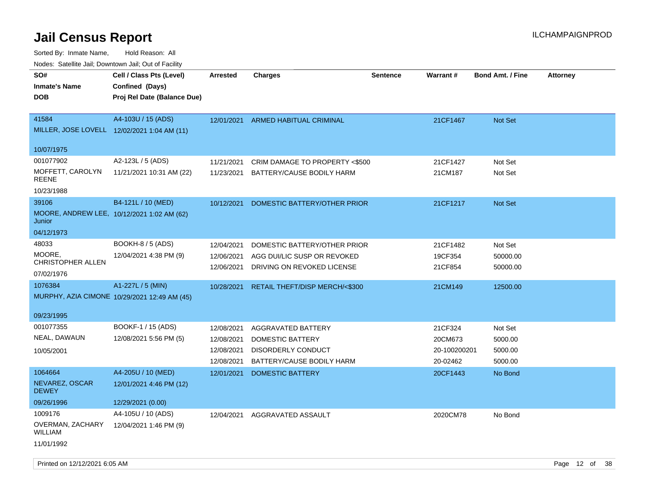Sorted By: Inmate Name, Hold Reason: All

Nodes: Satellite Jail; Downtown Jail; Out of Facility

| SO#<br><b>Inmate's Name</b><br><b>DOB</b>                   | Cell / Class Pts (Level)<br>Confined (Days)<br>Proj Rel Date (Balance Due) | <b>Arrested</b>                                      | <b>Charges</b>                                                                            | <b>Sentence</b> | Warrant#                                       | <b>Bond Amt. / Fine</b>                  | <b>Attorney</b> |
|-------------------------------------------------------------|----------------------------------------------------------------------------|------------------------------------------------------|-------------------------------------------------------------------------------------------|-----------------|------------------------------------------------|------------------------------------------|-----------------|
| 41584                                                       | A4-103U / 15 (ADS)<br>MILLER, JOSE LOVELL 12/02/2021 1:04 AM (11)          | 12/01/2021                                           | <b>ARMED HABITUAL CRIMINAL</b>                                                            |                 | 21CF1467                                       | <b>Not Set</b>                           |                 |
| 10/07/1975                                                  |                                                                            |                                                      |                                                                                           |                 |                                                |                                          |                 |
| 001077902                                                   | A2-123L / 5 (ADS)                                                          | 11/21/2021                                           | CRIM DAMAGE TO PROPERTY <\$500                                                            |                 | 21CF1427                                       | Not Set                                  |                 |
| MOFFETT, CAROLYN<br><b>REENE</b>                            | 11/21/2021 10:31 AM (22)                                                   |                                                      | 11/23/2021 BATTERY/CAUSE BODILY HARM                                                      |                 | 21CM187                                        | Not Set                                  |                 |
| 10/23/1988                                                  |                                                                            |                                                      |                                                                                           |                 |                                                |                                          |                 |
| 39106<br>Junior                                             | B4-121L / 10 (MED)<br>MOORE, ANDREW LEE, 10/12/2021 1:02 AM (62)           | 10/12/2021                                           | DOMESTIC BATTERY/OTHER PRIOR                                                              |                 | 21CF1217                                       | Not Set                                  |                 |
| 04/12/1973                                                  |                                                                            |                                                      |                                                                                           |                 |                                                |                                          |                 |
| 48033<br>MOORE,<br>CHRISTOPHER ALLEN<br>07/02/1976          | BOOKH-8 / 5 (ADS)<br>12/04/2021 4:38 PM (9)                                | 12/04/2021<br>12/06/2021<br>12/06/2021               | DOMESTIC BATTERY/OTHER PRIOR<br>AGG DUI/LIC SUSP OR REVOKED<br>DRIVING ON REVOKED LICENSE |                 | 21CF1482<br>19CF354<br>21CF854                 | Not Set<br>50000.00<br>50000.00          |                 |
| 1076384                                                     | A1-227L / 5 (MIN)<br>MURPHY, AZIA CIMONE 10/29/2021 12:49 AM (45)          | 10/28/2021                                           | RETAIL THEFT/DISP MERCH/<\$300                                                            |                 | 21CM149                                        | 12500.00                                 |                 |
| 09/23/1995                                                  |                                                                            |                                                      |                                                                                           |                 |                                                |                                          |                 |
| 001077355<br>NEAL, DAWAUN<br>10/05/2001                     | BOOKF-1 / 15 (ADS)<br>12/08/2021 5:56 PM (5)                               | 12/08/2021<br>12/08/2021<br>12/08/2021<br>12/08/2021 | AGGRAVATED BATTERY<br>DOMESTIC BATTERY<br>DISORDERLY CONDUCT<br>BATTERY/CAUSE BODILY HARM |                 | 21CF324<br>20CM673<br>20-100200201<br>20-02462 | Not Set<br>5000.00<br>5000.00<br>5000.00 |                 |
| 1064664<br>NEVAREZ, OSCAR<br><b>DEWEY</b><br>09/26/1996     | A4-205U / 10 (MED)<br>12/01/2021 4:46 PM (12)<br>12/29/2021 (0.00)         | 12/01/2021                                           | <b>DOMESTIC BATTERY</b>                                                                   |                 | 20CF1443                                       | No Bond                                  |                 |
| 1009176<br>OVERMAN, ZACHARY<br><b>WILLIAM</b><br>11/01/1992 | A4-105U / 10 (ADS)<br>12/04/2021 1:46 PM (9)                               | 12/04/2021                                           | AGGRAVATED ASSAULT                                                                        |                 | 2020CM78                                       | No Bond                                  |                 |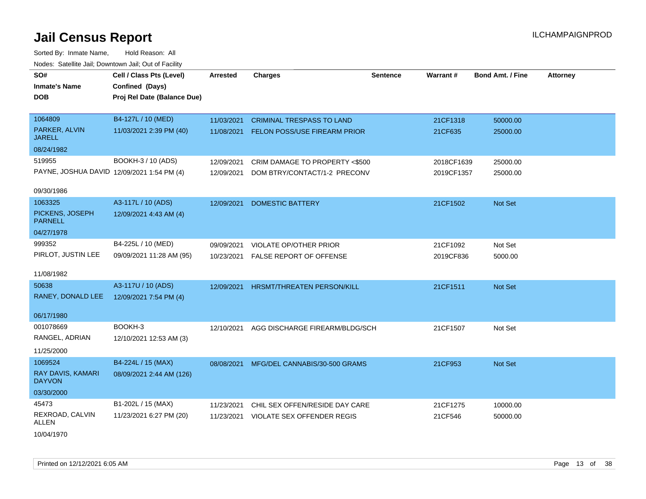| SO#                                        | Cell / Class Pts (Level)    | <b>Arrested</b> | <b>Charges</b>                   | <b>Sentence</b> | Warrant#   | <b>Bond Amt. / Fine</b> | <b>Attorney</b> |
|--------------------------------------------|-----------------------------|-----------------|----------------------------------|-----------------|------------|-------------------------|-----------------|
| <b>Inmate's Name</b>                       | Confined (Days)             |                 |                                  |                 |            |                         |                 |
| <b>DOB</b>                                 | Proj Rel Date (Balance Due) |                 |                                  |                 |            |                         |                 |
|                                            |                             |                 |                                  |                 |            |                         |                 |
| 1064809                                    | B4-127L / 10 (MED)          | 11/03/2021      | <b>CRIMINAL TRESPASS TO LAND</b> |                 | 21CF1318   | 50000.00                |                 |
| PARKER, ALVIN<br><b>JARELL</b>             | 11/03/2021 2:39 PM (40)     | 11/08/2021      | FELON POSS/USE FIREARM PRIOR     |                 | 21CF635    | 25000.00                |                 |
| 08/24/1982                                 |                             |                 |                                  |                 |            |                         |                 |
| 519955                                     | BOOKH-3 / 10 (ADS)          | 12/09/2021      | CRIM DAMAGE TO PROPERTY <\$500   |                 | 2018CF1639 | 25000.00                |                 |
| PAYNE, JOSHUA DAVID 12/09/2021 1:54 PM (4) |                             | 12/09/2021      | DOM BTRY/CONTACT/1-2 PRECONV     |                 | 2019CF1357 | 25000.00                |                 |
| 09/30/1986                                 |                             |                 |                                  |                 |            |                         |                 |
| 1063325                                    | A3-117L / 10 (ADS)          | 12/09/2021      | <b>DOMESTIC BATTERY</b>          |                 | 21CF1502   | Not Set                 |                 |
| PICKENS, JOSEPH<br><b>PARNELL</b>          | 12/09/2021 4:43 AM (4)      |                 |                                  |                 |            |                         |                 |
| 04/27/1978                                 |                             |                 |                                  |                 |            |                         |                 |
| 999352                                     | B4-225L / 10 (MED)          | 09/09/2021      | VIOLATE OP/OTHER PRIOR           |                 | 21CF1092   | Not Set                 |                 |
| PIRLOT, JUSTIN LEE                         | 09/09/2021 11:28 AM (95)    | 10/23/2021      | FALSE REPORT OF OFFENSE          |                 | 2019CF836  | 5000.00                 |                 |
|                                            |                             |                 |                                  |                 |            |                         |                 |
| 11/08/1982                                 |                             |                 |                                  |                 |            |                         |                 |
| 50638                                      | A3-117U / 10 (ADS)          | 12/09/2021      | HRSMT/THREATEN PERSON/KILL       |                 | 21CF1511   | Not Set                 |                 |
| RANEY, DONALD LEE                          | 12/09/2021 7:54 PM (4)      |                 |                                  |                 |            |                         |                 |
|                                            |                             |                 |                                  |                 |            |                         |                 |
| 06/17/1980                                 |                             |                 |                                  |                 |            |                         |                 |
| 001078669                                  | BOOKH-3                     | 12/10/2021      | AGG DISCHARGE FIREARM/BLDG/SCH   |                 | 21CF1507   | Not Set                 |                 |
| RANGEL, ADRIAN                             | 12/10/2021 12:53 AM (3)     |                 |                                  |                 |            |                         |                 |
| 11/25/2000                                 |                             |                 |                                  |                 |            |                         |                 |
| 1069524                                    | B4-224L / 15 (MAX)          | 08/08/2021      | MFG/DEL CANNABIS/30-500 GRAMS    |                 | 21CF953    | Not Set                 |                 |
| RAY DAVIS, KAMARI<br><b>DAYVON</b>         | 08/09/2021 2:44 AM (126)    |                 |                                  |                 |            |                         |                 |
| 03/30/2000                                 |                             |                 |                                  |                 |            |                         |                 |
| 45473                                      | B1-202L / 15 (MAX)          | 11/23/2021      | CHIL SEX OFFEN/RESIDE DAY CARE   |                 | 21CF1275   | 10000.00                |                 |
| REXROAD, CALVIN<br>ALLEN                   | 11/23/2021 6:27 PM (20)     | 11/23/2021      | VIOLATE SEX OFFENDER REGIS       |                 | 21CF546    | 50000.00                |                 |
| 10/04/1970                                 |                             |                 |                                  |                 |            |                         |                 |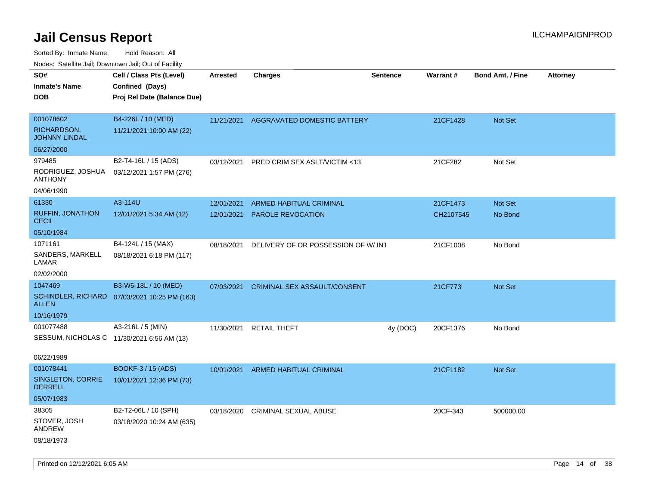| Nodes: Satellite Jali, Downtown Jali, Out of Facility |                                            |                 |                                    |                 |                 |                         |                 |
|-------------------------------------------------------|--------------------------------------------|-----------------|------------------------------------|-----------------|-----------------|-------------------------|-----------------|
| SO#                                                   | Cell / Class Pts (Level)                   | <b>Arrested</b> | <b>Charges</b>                     | <b>Sentence</b> | <b>Warrant#</b> | <b>Bond Amt. / Fine</b> | <b>Attorney</b> |
| <b>Inmate's Name</b>                                  | Confined (Days)                            |                 |                                    |                 |                 |                         |                 |
| <b>DOB</b>                                            | Proj Rel Date (Balance Due)                |                 |                                    |                 |                 |                         |                 |
|                                                       |                                            |                 |                                    |                 |                 |                         |                 |
| 001078602                                             | B4-226L / 10 (MED)                         | 11/21/2021      | AGGRAVATED DOMESTIC BATTERY        |                 | 21CF1428        | Not Set                 |                 |
| RICHARDSON,<br><b>JOHNNY LINDAL</b>                   | 11/21/2021 10:00 AM (22)                   |                 |                                    |                 |                 |                         |                 |
| 06/27/2000                                            |                                            |                 |                                    |                 |                 |                         |                 |
| 979485                                                | B2-T4-16L / 15 (ADS)                       | 03/12/2021      | PRED CRIM SEX ASLT/VICTIM <13      |                 | 21CF282         | Not Set                 |                 |
| RODRIGUEZ, JOSHUA<br><b>ANTHONY</b>                   | 03/12/2021 1:57 PM (276)                   |                 |                                    |                 |                 |                         |                 |
| 04/06/1990                                            |                                            |                 |                                    |                 |                 |                         |                 |
| 61330                                                 | A3-114U                                    | 12/01/2021      | ARMED HABITUAL CRIMINAL            |                 | 21CF1473        | Not Set                 |                 |
| <b>RUFFIN, JONATHON</b><br><b>CECIL</b>               | 12/01/2021 5:34 AM (12)                    | 12/01/2021      | PAROLE REVOCATION                  |                 | CH2107545       | No Bond                 |                 |
| 05/10/1984                                            |                                            |                 |                                    |                 |                 |                         |                 |
| 1071161                                               | B4-124L / 15 (MAX)                         | 08/18/2021      | DELIVERY OF OR POSSESSION OF W/INT |                 | 21CF1008        | No Bond                 |                 |
| SANDERS, MARKELL<br>LAMAR                             | 08/18/2021 6:18 PM (117)                   |                 |                                    |                 |                 |                         |                 |
| 02/02/2000                                            |                                            |                 |                                    |                 |                 |                         |                 |
| 1047469                                               | B3-W5-18L / 10 (MED)                       | 07/03/2021      | CRIMINAL SEX ASSAULT/CONSENT       |                 | 21CF773         | Not Set                 |                 |
| <b>SCHINDLER, RICHARD</b><br><b>ALLEN</b>             | 07/03/2021 10:25 PM (163)                  |                 |                                    |                 |                 |                         |                 |
| 10/16/1979                                            |                                            |                 |                                    |                 |                 |                         |                 |
| 001077488                                             | A3-216L / 5 (MIN)                          | 11/30/2021      | <b>RETAIL THEFT</b>                | 4y (DOC)        | 20CF1376        | No Bond                 |                 |
|                                                       | SESSUM, NICHOLAS C 11/30/2021 6:56 AM (13) |                 |                                    |                 |                 |                         |                 |
|                                                       |                                            |                 |                                    |                 |                 |                         |                 |
| 06/22/1989                                            |                                            |                 |                                    |                 |                 |                         |                 |
| 001078441                                             | <b>BOOKF-3 / 15 (ADS)</b>                  | 10/01/2021      | ARMED HABITUAL CRIMINAL            |                 | 21CF1182        | <b>Not Set</b>          |                 |
| SINGLETON, CORRIE<br><b>DERRELL</b>                   | 10/01/2021 12:36 PM (73)                   |                 |                                    |                 |                 |                         |                 |
| 05/07/1983                                            |                                            |                 |                                    |                 |                 |                         |                 |
| 38305                                                 | B2-T2-06L / 10 (SPH)                       | 03/18/2020      | CRIMINAL SEXUAL ABUSE              |                 | 20CF-343        | 500000.00               |                 |
| STOVER, JOSH<br><b>ANDREW</b>                         | 03/18/2020 10:24 AM (635)                  |                 |                                    |                 |                 |                         |                 |
| 08/18/1973                                            |                                            |                 |                                    |                 |                 |                         |                 |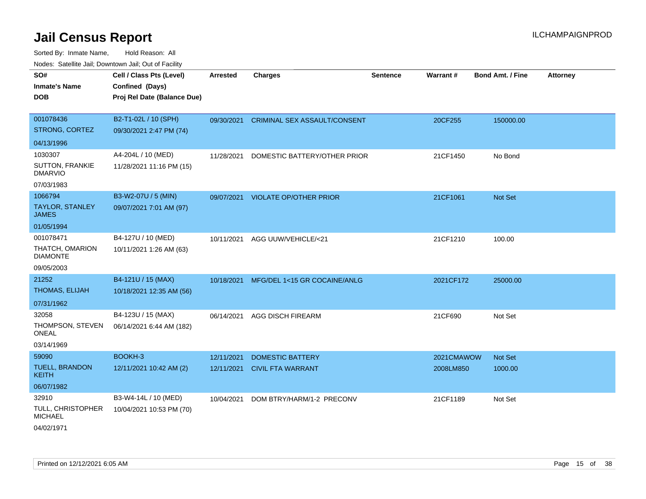| SO#<br><b>Inmate's Name</b>              | Cell / Class Pts (Level)<br>Confined (Days) | <b>Arrested</b> | <b>Charges</b>                | <b>Sentence</b> | <b>Warrant#</b> | <b>Bond Amt. / Fine</b> | <b>Attorney</b> |
|------------------------------------------|---------------------------------------------|-----------------|-------------------------------|-----------------|-----------------|-------------------------|-----------------|
| <b>DOB</b>                               | Proj Rel Date (Balance Due)                 |                 |                               |                 |                 |                         |                 |
| 001078436                                | B2-T1-02L / 10 (SPH)                        | 09/30/2021      | CRIMINAL SEX ASSAULT/CONSENT  |                 | 20CF255         | 150000.00               |                 |
| STRONG, CORTEZ                           | 09/30/2021 2:47 PM (74)                     |                 |                               |                 |                 |                         |                 |
| 04/13/1996                               |                                             |                 |                               |                 |                 |                         |                 |
| 1030307                                  | A4-204L / 10 (MED)                          | 11/28/2021      | DOMESTIC BATTERY/OTHER PRIOR  |                 | 21CF1450        | No Bond                 |                 |
| <b>SUTTON, FRANKIE</b><br><b>DMARVIO</b> | 11/28/2021 11:16 PM (15)                    |                 |                               |                 |                 |                         |                 |
| 07/03/1983                               |                                             |                 |                               |                 |                 |                         |                 |
| 1066794                                  | B3-W2-07U / 5 (MIN)                         | 09/07/2021      | <b>VIOLATE OP/OTHER PRIOR</b> |                 | 21CF1061        | Not Set                 |                 |
| <b>TAYLOR, STANLEY</b><br><b>JAMES</b>   | 09/07/2021 7:01 AM (97)                     |                 |                               |                 |                 |                         |                 |
| 01/05/1994                               |                                             |                 |                               |                 |                 |                         |                 |
| 001078471                                | B4-127U / 10 (MED)                          | 10/11/2021      | AGG UUW/VEHICLE/<21           |                 | 21CF1210        | 100.00                  |                 |
| THATCH, OMARION<br><b>DIAMONTE</b>       | 10/11/2021 1:26 AM (63)                     |                 |                               |                 |                 |                         |                 |
| 09/05/2003                               |                                             |                 |                               |                 |                 |                         |                 |
| 21252                                    | B4-121U / 15 (MAX)                          | 10/18/2021      | MFG/DEL 1<15 GR COCAINE/ANLG  |                 | 2021CF172       | 25000.00                |                 |
| THOMAS, ELIJAH                           | 10/18/2021 12:35 AM (56)                    |                 |                               |                 |                 |                         |                 |
| 07/31/1962                               |                                             |                 |                               |                 |                 |                         |                 |
| 32058                                    | B4-123U / 15 (MAX)                          | 06/14/2021      | <b>AGG DISCH FIREARM</b>      |                 | 21CF690         | Not Set                 |                 |
| THOMPSON, STEVEN<br>ONEAL                | 06/14/2021 6:44 AM (182)                    |                 |                               |                 |                 |                         |                 |
| 03/14/1969                               |                                             |                 |                               |                 |                 |                         |                 |
| 59090                                    | BOOKH-3                                     | 12/11/2021      | <b>DOMESTIC BATTERY</b>       |                 | 2021CMAWOW      | Not Set                 |                 |
| <b>TUELL, BRANDON</b><br><b>KEITH</b>    | 12/11/2021 10:42 AM (2)                     |                 | 12/11/2021 CIVIL FTA WARRANT  |                 | 2008LM850       | 1000.00                 |                 |
| 06/07/1982                               |                                             |                 |                               |                 |                 |                         |                 |
| 32910                                    | B3-W4-14L / 10 (MED)                        | 10/04/2021      | DOM BTRY/HARM/1-2 PRECONV     |                 | 21CF1189        | Not Set                 |                 |
| TULL, CHRISTOPHER<br><b>MICHAEL</b>      | 10/04/2021 10:53 PM (70)                    |                 |                               |                 |                 |                         |                 |
| 04/02/1971                               |                                             |                 |                               |                 |                 |                         |                 |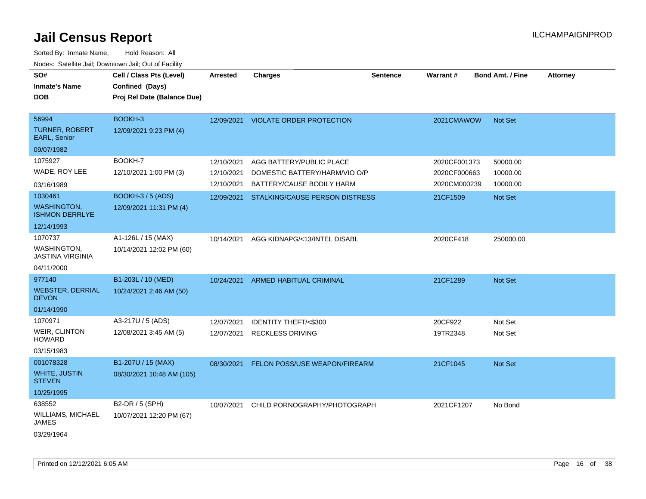| SO#                                         | Cell / Class Pts (Level)    | <b>Arrested</b> | <b>Charges</b>                  | <b>Sentence</b> | <b>Warrant#</b> | <b>Bond Amt. / Fine</b> | <b>Attorney</b> |
|---------------------------------------------|-----------------------------|-----------------|---------------------------------|-----------------|-----------------|-------------------------|-----------------|
| <b>Inmate's Name</b>                        | Confined (Days)             |                 |                                 |                 |                 |                         |                 |
| <b>DOB</b>                                  | Proj Rel Date (Balance Due) |                 |                                 |                 |                 |                         |                 |
|                                             |                             |                 |                                 |                 |                 |                         |                 |
| 56994                                       | BOOKH-3                     | 12/09/2021      | <b>VIOLATE ORDER PROTECTION</b> |                 | 2021CMAWOW      | Not Set                 |                 |
| <b>TURNER, ROBERT</b><br>EARL, Senior       | 12/09/2021 9:23 PM (4)      |                 |                                 |                 |                 |                         |                 |
| 09/07/1982                                  |                             |                 |                                 |                 |                 |                         |                 |
| 1075927                                     | BOOKH-7                     | 12/10/2021      | AGG BATTERY/PUBLIC PLACE        |                 | 2020CF001373    | 50000.00                |                 |
| WADE, ROY LEE                               | 12/10/2021 1:00 PM (3)      | 12/10/2021      | DOMESTIC BATTERY/HARM/VIO O/P   |                 | 2020CF000663    | 10000.00                |                 |
| 03/16/1989                                  |                             | 12/10/2021      | BATTERY/CAUSE BODILY HARM       |                 | 2020CM000239    | 10000.00                |                 |
| 1030461                                     | <b>BOOKH-3/5 (ADS)</b>      | 12/09/2021      | STALKING/CAUSE PERSON DISTRESS  |                 | 21CF1509        | <b>Not Set</b>          |                 |
| <b>WASHINGTON,</b><br><b>ISHMON DERRLYE</b> | 12/09/2021 11:31 PM (4)     |                 |                                 |                 |                 |                         |                 |
| 12/14/1993                                  |                             |                 |                                 |                 |                 |                         |                 |
| 1070737                                     | A1-126L / 15 (MAX)          | 10/14/2021      | AGG KIDNAPG/<13/INTEL DISABL    |                 | 2020CF418       | 250000.00               |                 |
| WASHINGTON,<br><b>JASTINA VIRGINIA</b>      | 10/14/2021 12:02 PM (60)    |                 |                                 |                 |                 |                         |                 |
| 04/11/2000                                  |                             |                 |                                 |                 |                 |                         |                 |
| 977140                                      | B1-203L / 10 (MED)          | 10/24/2021      | ARMED HABITUAL CRIMINAL         |                 | 21CF1289        | Not Set                 |                 |
| <b>WEBSTER, DERRIAL</b><br><b>DEVON</b>     | 10/24/2021 2:46 AM (50)     |                 |                                 |                 |                 |                         |                 |
| 01/14/1990                                  |                             |                 |                                 |                 |                 |                         |                 |
| 1070971                                     | A3-217U / 5 (ADS)           | 12/07/2021      | <b>IDENTITY THEFT/&lt;\$300</b> |                 | 20CF922         | Not Set                 |                 |
| WEIR, CLINTON<br><b>HOWARD</b>              | 12/08/2021 3:45 AM (5)      | 12/07/2021      | <b>RECKLESS DRIVING</b>         |                 | 19TR2348        | Not Set                 |                 |
| 03/15/1983                                  |                             |                 |                                 |                 |                 |                         |                 |
| 001078328                                   | B1-207U / 15 (MAX)          | 08/30/2021      | FELON POSS/USE WEAPON/FIREARM   |                 | 21CF1045        | Not Set                 |                 |
| <b>WHITE, JUSTIN</b><br><b>STEVEN</b>       | 08/30/2021 10:48 AM (105)   |                 |                                 |                 |                 |                         |                 |
| 10/25/1995                                  |                             |                 |                                 |                 |                 |                         |                 |
| 638552                                      | B2-DR / 5 (SPH)             | 10/07/2021      | CHILD PORNOGRAPHY/PHOTOGRAPH    |                 | 2021CF1207      | No Bond                 |                 |
| WILLIAMS, MICHAEL<br>JAMES                  | 10/07/2021 12:20 PM (67)    |                 |                                 |                 |                 |                         |                 |
| 03/29/1964                                  |                             |                 |                                 |                 |                 |                         |                 |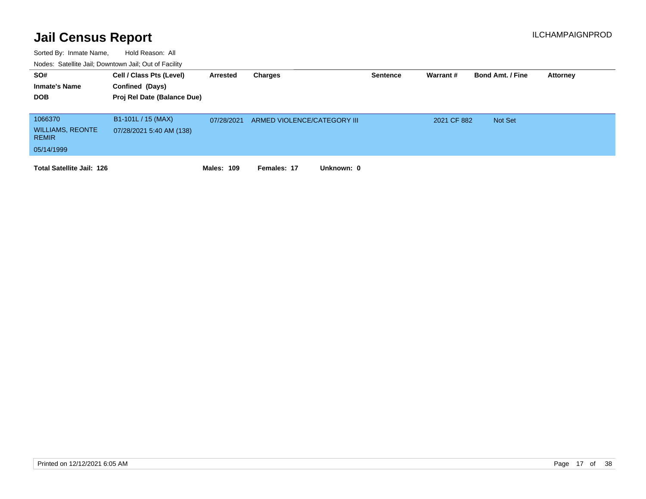| SO#                                     | Cell / Class Pts (Level)    | Arrested          | Charges                     | <b>Sentence</b> | Warrant#    | <b>Bond Amt. / Fine</b> | <b>Attorney</b> |
|-----------------------------------------|-----------------------------|-------------------|-----------------------------|-----------------|-------------|-------------------------|-----------------|
| <b>Inmate's Name</b>                    | Confined (Days)             |                   |                             |                 |             |                         |                 |
| <b>DOB</b>                              | Proj Rel Date (Balance Due) |                   |                             |                 |             |                         |                 |
|                                         |                             |                   |                             |                 |             |                         |                 |
| 1066370                                 | B1-101L / 15 (MAX)          | 07/28/2021        | ARMED VIOLENCE/CATEGORY III |                 | 2021 CF 882 | <b>Not Set</b>          |                 |
| <b>WILLIAMS, REONTE</b><br><b>REMIR</b> | 07/28/2021 5:40 AM (138)    |                   |                             |                 |             |                         |                 |
| 05/14/1999                              |                             |                   |                             |                 |             |                         |                 |
| <b>Total Satellite Jail: 126</b>        |                             | <b>Males: 109</b> | Unknown: 0<br>Females: 17   |                 |             |                         |                 |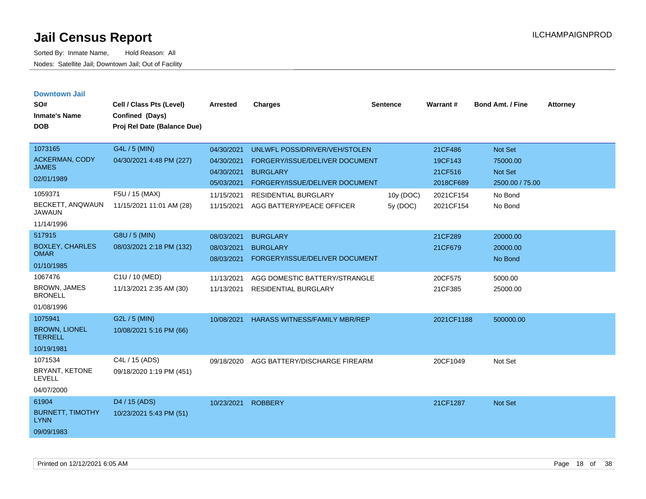| <b>Downtown Jail</b><br>SO#<br><b>Inmate's Name</b><br><b>DOB</b>                             | Cell / Class Pts (Level)<br>Confined (Days)<br>Proj Rel Date (Balance Due)              | <b>Arrested</b>                                                                  | <b>Charges</b>                                                                                                                                                                   | <b>Sentence</b>      | <b>Warrant#</b>                                                      | <b>Bond Amt. / Fine</b>                                                        | <b>Attorney</b> |
|-----------------------------------------------------------------------------------------------|-----------------------------------------------------------------------------------------|----------------------------------------------------------------------------------|----------------------------------------------------------------------------------------------------------------------------------------------------------------------------------|----------------------|----------------------------------------------------------------------|--------------------------------------------------------------------------------|-----------------|
| 1073165<br><b>ACKERMAN, CODY</b><br><b>JAMES</b><br>02/01/1989<br>1059371<br>BECKETT, ANQWAUN | G4L / 5 (MIN)<br>04/30/2021 4:48 PM (227)<br>F5U / 15 (MAX)<br>11/15/2021 11:01 AM (28) | 04/30/2021<br>04/30/2021<br>04/30/2021<br>05/03/2021<br>11/15/2021<br>11/15/2021 | UNLWFL POSS/DRIVER/VEH/STOLEN<br>FORGERY/ISSUE/DELIVER DOCUMENT<br><b>BURGLARY</b><br>FORGERY/ISSUE/DELIVER DOCUMENT<br><b>RESIDENTIAL BURGLARY</b><br>AGG BATTERY/PEACE OFFICER | 10y (DOC)<br>5v(DOC) | 21CF486<br>19CF143<br>21CF516<br>2018CF689<br>2021CF154<br>2021CF154 | Not Set<br>75000.00<br><b>Not Set</b><br>2500.00 / 75.00<br>No Bond<br>No Bond |                 |
| <b>JAWAUN</b><br>11/14/1996                                                                   |                                                                                         |                                                                                  |                                                                                                                                                                                  |                      |                                                                      |                                                                                |                 |
| 517915<br><b>BOXLEY, CHARLES</b><br><b>OMAR</b><br>01/10/1985                                 | G8U / 5 (MIN)<br>08/03/2021 2:18 PM (132)                                               | 08/03/2021<br>08/03/2021<br>08/03/2021                                           | <b>BURGLARY</b><br><b>BURGLARY</b><br>FORGERY/ISSUE/DELIVER DOCUMENT                                                                                                             |                      | 21CF289<br>21CF679                                                   | 20000.00<br>20000.00<br>No Bond                                                |                 |
| 1067476<br><b>BROWN, JAMES</b><br><b>BRONELL</b><br>01/08/1996                                | C1U / 10 (MED)<br>11/13/2021 2:35 AM (30)                                               | 11/13/2021<br>11/13/2021                                                         | AGG DOMESTIC BATTERY/STRANGLE<br><b>RESIDENTIAL BURGLARY</b>                                                                                                                     |                      | 20CF575<br>21CF385                                                   | 5000.00<br>25000.00                                                            |                 |
| 1075941<br><b>BROWN, LIONEL</b><br><b>TERRELL</b><br>10/19/1981                               | G2L / 5 (MIN)<br>10/08/2021 5:16 PM (66)                                                | 10/08/2021                                                                       | <b>HARASS WITNESS/FAMILY MBR/REP</b>                                                                                                                                             |                      | 2021CF1188                                                           | 500000.00                                                                      |                 |
| 1071534<br>BRYANT, KETONE<br><b>LEVELL</b><br>04/07/2000                                      | C4L / 15 (ADS)<br>09/18/2020 1:19 PM (451)                                              | 09/18/2020                                                                       | AGG BATTERY/DISCHARGE FIREARM                                                                                                                                                    |                      | 20CF1049                                                             | Not Set                                                                        |                 |
| 61904<br><b>BURNETT, TIMOTHY</b><br><b>LYNN</b><br>09/09/1983                                 | D <sub>4</sub> / 15 (ADS)<br>10/23/2021 5:43 PM (51)                                    | 10/23/2021                                                                       | <b>ROBBERY</b>                                                                                                                                                                   |                      | 21CF1287                                                             | <b>Not Set</b>                                                                 |                 |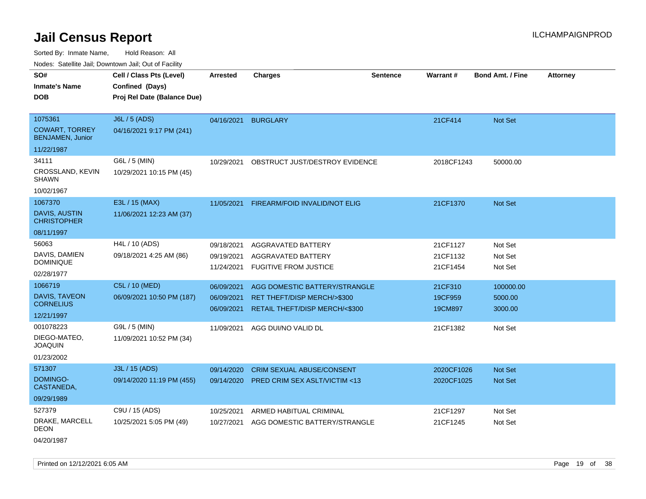Sorted By: Inmate Name, Hold Reason: All

Nodes: Satellite Jail; Downtown Jail; Out of Facility

| SO#<br><b>Inmate's Name</b>                      | Cell / Class Pts (Level)<br>Confined (Days) | <b>Arrested</b> | <b>Charges</b>                   | <b>Sentence</b> | Warrant#   | <b>Bond Amt. / Fine</b> | <b>Attorney</b> |
|--------------------------------------------------|---------------------------------------------|-----------------|----------------------------------|-----------------|------------|-------------------------|-----------------|
|                                                  |                                             |                 |                                  |                 |            |                         |                 |
| <b>DOB</b>                                       | Proj Rel Date (Balance Due)                 |                 |                                  |                 |            |                         |                 |
|                                                  |                                             |                 |                                  |                 |            |                         |                 |
| 1075361                                          | J6L / 5 (ADS)                               | 04/16/2021      | <b>BURGLARY</b>                  |                 | 21CF414    | Not Set                 |                 |
| <b>COWART, TORREY</b><br><b>BENJAMEN, Junior</b> | 04/16/2021 9:17 PM (241)                    |                 |                                  |                 |            |                         |                 |
| 11/22/1987                                       |                                             |                 |                                  |                 |            |                         |                 |
| 34111                                            | G6L / 5 (MIN)                               | 10/29/2021      | OBSTRUCT JUST/DESTROY EVIDENCE   |                 | 2018CF1243 | 50000.00                |                 |
| CROSSLAND, KEVIN<br><b>SHAWN</b>                 | 10/29/2021 10:15 PM (45)                    |                 |                                  |                 |            |                         |                 |
| 10/02/1967                                       |                                             |                 |                                  |                 |            |                         |                 |
| 1067370                                          | E3L / 15 (MAX)                              | 11/05/2021      | FIREARM/FOID INVALID/NOT ELIG    |                 | 21CF1370   | <b>Not Set</b>          |                 |
| DAVIS, AUSTIN<br><b>CHRISTOPHER</b>              | 11/06/2021 12:23 AM (37)                    |                 |                                  |                 |            |                         |                 |
| 08/11/1997                                       |                                             |                 |                                  |                 |            |                         |                 |
| 56063                                            | H4L / 10 (ADS)                              | 09/18/2021      | AGGRAVATED BATTERY               |                 | 21CF1127   | Not Set                 |                 |
| DAVIS, DAMIEN                                    | 09/18/2021 4:25 AM (86)                     | 09/19/2021      | AGGRAVATED BATTERY               |                 | 21CF1132   | Not Set                 |                 |
| <b>DOMINIQUE</b>                                 |                                             | 11/24/2021      | <b>FUGITIVE FROM JUSTICE</b>     |                 | 21CF1454   | Not Set                 |                 |
| 02/28/1977                                       |                                             |                 |                                  |                 |            |                         |                 |
| 1066719                                          | C5L / 10 (MED)                              | 06/09/2021      | AGG DOMESTIC BATTERY/STRANGLE    |                 | 21CF310    | 100000.00               |                 |
| DAVIS, TAVEON                                    | 06/09/2021 10:50 PM (187)                   | 06/09/2021      | RET THEFT/DISP MERCH/>\$300      |                 | 19CF959    | 5000.00                 |                 |
| <b>CORNELIUS</b>                                 |                                             | 06/09/2021      | RETAIL THEFT/DISP MERCH/<\$300   |                 | 19CM897    | 3000.00                 |                 |
| 12/21/1997                                       |                                             |                 |                                  |                 |            |                         |                 |
| 001078223                                        | G9L / 5 (MIN)                               | 11/09/2021      | AGG DUI/NO VALID DL              |                 | 21CF1382   | Not Set                 |                 |
| DIEGO-MATEO,<br><b>JOAQUIN</b>                   | 11/09/2021 10:52 PM (34)                    |                 |                                  |                 |            |                         |                 |
| 01/23/2002                                       |                                             |                 |                                  |                 |            |                         |                 |
| 571307                                           | J3L / 15 (ADS)                              | 09/14/2020      | <b>CRIM SEXUAL ABUSE/CONSENT</b> |                 | 2020CF1026 | <b>Not Set</b>          |                 |
| DOMINGO-<br>CASTANEDA,                           | 09/14/2020 11:19 PM (455)                   | 09/14/2020      | PRED CRIM SEX ASLT/VICTIM <13    |                 | 2020CF1025 | Not Set                 |                 |
| 09/29/1989                                       |                                             |                 |                                  |                 |            |                         |                 |
| 527379                                           | C9U / 15 (ADS)                              | 10/25/2021      | ARMED HABITUAL CRIMINAL          |                 | 21CF1297   | Not Set                 |                 |
| DRAKE, MARCELL<br><b>DEON</b>                    | 10/25/2021 5:05 PM (49)                     | 10/27/2021      | AGG DOMESTIC BATTERY/STRANGLE    |                 | 21CF1245   | Not Set                 |                 |
|                                                  |                                             |                 |                                  |                 |            |                         |                 |

04/20/1987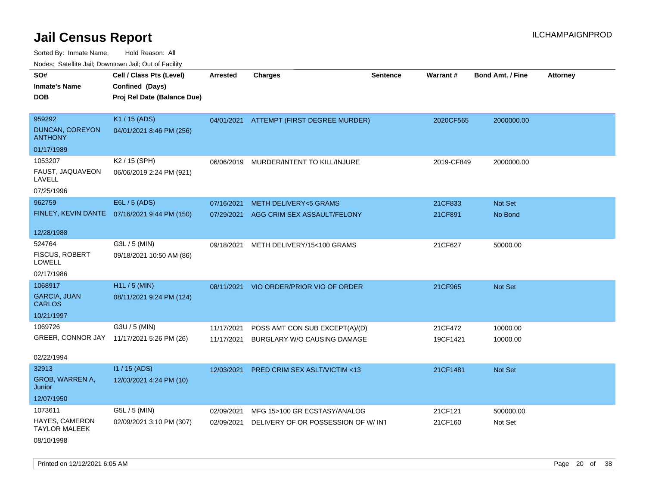Sorted By: Inmate Name, Hold Reason: All

Nodes: Satellite Jail; Downtown Jail; Out of Facility

| SO#                                    | Cell / Class Pts (Level)                     | <b>Arrested</b> | <b>Charges</b>                           | Sentence | Warrant#   | <b>Bond Amt. / Fine</b> | <b>Attorney</b> |
|----------------------------------------|----------------------------------------------|-----------------|------------------------------------------|----------|------------|-------------------------|-----------------|
| <b>Inmate's Name</b>                   | Confined (Days)                              |                 |                                          |          |            |                         |                 |
| <b>DOB</b>                             | Proj Rel Date (Balance Due)                  |                 |                                          |          |            |                         |                 |
|                                        |                                              |                 |                                          |          |            |                         |                 |
| 959292                                 | K1 / 15 (ADS)                                |                 | 04/01/2021 ATTEMPT (FIRST DEGREE MURDER) |          | 2020CF565  | 2000000.00              |                 |
| DUNCAN, COREYON<br><b>ANTHONY</b>      | 04/01/2021 8:46 PM (256)                     |                 |                                          |          |            |                         |                 |
| 01/17/1989                             |                                              |                 |                                          |          |            |                         |                 |
| 1053207                                | K2 / 15 (SPH)                                | 06/06/2019      | MURDER/INTENT TO KILL/INJURE             |          | 2019-CF849 | 2000000.00              |                 |
| FAUST, JAQUAVEON<br>LAVELL             | 06/06/2019 2:24 PM (921)                     |                 |                                          |          |            |                         |                 |
| 07/25/1996                             |                                              |                 |                                          |          |            |                         |                 |
| 962759                                 | E6L / 5 (ADS)                                | 07/16/2021      | <b>METH DELIVERY&lt;5 GRAMS</b>          |          | 21CF833    | Not Set                 |                 |
|                                        | FINLEY, KEVIN DANTE 07/16/2021 9:44 PM (150) | 07/29/2021      | AGG CRIM SEX ASSAULT/FELONY              |          | 21CF891    | No Bond                 |                 |
|                                        |                                              |                 |                                          |          |            |                         |                 |
| 12/28/1988                             |                                              |                 |                                          |          |            |                         |                 |
| 524764                                 | G3L / 5 (MIN)                                | 09/18/2021      | METH DELIVERY/15<100 GRAMS               |          | 21CF627    | 50000.00                |                 |
| FISCUS, ROBERT<br><b>LOWELL</b>        | 09/18/2021 10:50 AM (86)                     |                 |                                          |          |            |                         |                 |
| 02/17/1986                             |                                              |                 |                                          |          |            |                         |                 |
| 1068917                                | H1L / 5 (MIN)                                | 08/11/2021      | VIO ORDER/PRIOR VIO OF ORDER             |          | 21CF965    | Not Set                 |                 |
| <b>GARCIA, JUAN</b><br><b>CARLOS</b>   | 08/11/2021 9:24 PM (124)                     |                 |                                          |          |            |                         |                 |
| 10/21/1997                             |                                              |                 |                                          |          |            |                         |                 |
| 1069726                                | G3U / 5 (MIN)                                | 11/17/2021      | POSS AMT CON SUB EXCEPT(A)/(D)           |          | 21CF472    | 10000.00                |                 |
|                                        | GREER, CONNOR JAY 11/17/2021 5:26 PM (26)    | 11/17/2021      | BURGLARY W/O CAUSING DAMAGE              |          | 19CF1421   | 10000.00                |                 |
|                                        |                                              |                 |                                          |          |            |                         |                 |
| 02/22/1994                             |                                              |                 |                                          |          |            |                         |                 |
| 32913                                  | $11/15$ (ADS)                                | 12/03/2021      | PRED CRIM SEX ASLT/VICTIM <13            |          | 21CF1481   | Not Set                 |                 |
| GROB, WARREN A,<br>Junior              | 12/03/2021 4:24 PM (10)                      |                 |                                          |          |            |                         |                 |
| 12/07/1950                             |                                              |                 |                                          |          |            |                         |                 |
| 1073611                                | G5L / 5 (MIN)                                | 02/09/2021      | MFG 15>100 GR ECSTASY/ANALOG             |          | 21CF121    | 500000.00               |                 |
| HAYES, CAMERON<br><b>TAYLOR MALEEK</b> | 02/09/2021 3:10 PM (307)                     | 02/09/2021      | DELIVERY OF OR POSSESSION OF W/INT       |          | 21CF160    | Not Set                 |                 |
| 08/10/1998                             |                                              |                 |                                          |          |            |                         |                 |

Printed on  $12/12/2021$  6:05 AM Page 20 of 38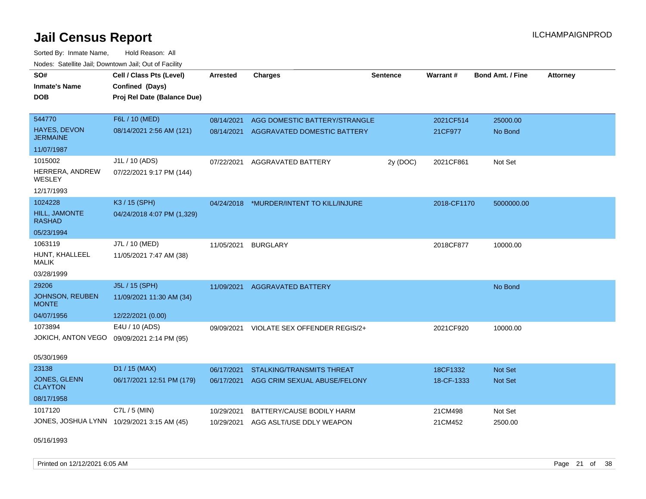Sorted By: Inmate Name, Hold Reason: All Nodes: Satellite Jail; Downtown Jail; Out of Facility

| SO#<br><b>Inmate's Name</b><br><b>DOB</b> | Cell / Class Pts (Level)<br>Confined (Days)<br>Proj Rel Date (Balance Due) | <b>Arrested</b> | <b>Charges</b>                           | <b>Sentence</b> | <b>Warrant#</b> | <b>Bond Amt. / Fine</b> | <b>Attorney</b> |
|-------------------------------------------|----------------------------------------------------------------------------|-----------------|------------------------------------------|-----------------|-----------------|-------------------------|-----------------|
| 544770<br><b>HAYES, DEVON</b>             | F6L / 10 (MED)                                                             | 08/14/2021      | AGG DOMESTIC BATTERY/STRANGLE            |                 | 2021CF514       | 25000.00                |                 |
| <b>JERMAINE</b>                           | 08/14/2021 2:56 AM (121)                                                   | 08/14/2021      | AGGRAVATED DOMESTIC BATTERY              |                 | 21CF977         | No Bond                 |                 |
| 11/07/1987                                |                                                                            |                 |                                          |                 |                 |                         |                 |
| 1015002                                   | J1L / 10 (ADS)                                                             | 07/22/2021      | AGGRAVATED BATTERY                       | 2y (DOC)        | 2021CF861       | Not Set                 |                 |
| HERRERA, ANDREW<br>WESLEY                 | 07/22/2021 9:17 PM (144)                                                   |                 |                                          |                 |                 |                         |                 |
| 12/17/1993                                |                                                                            |                 |                                          |                 |                 |                         |                 |
| 1024228                                   | K3 / 15 (SPH)                                                              |                 | 04/24/2018 *MURDER/INTENT TO KILL/INJURE |                 | 2018-CF1170     | 5000000.00              |                 |
| HILL, JAMONTE<br><b>RASHAD</b>            | 04/24/2018 4:07 PM (1,329)                                                 |                 |                                          |                 |                 |                         |                 |
| 05/23/1994                                |                                                                            |                 |                                          |                 |                 |                         |                 |
| 1063119                                   | J7L / 10 (MED)                                                             | 11/05/2021      | <b>BURGLARY</b>                          |                 | 2018CF877       | 10000.00                |                 |
| HUNT, KHALLEEL<br><b>MALIK</b>            | 11/05/2021 7:47 AM (38)                                                    |                 |                                          |                 |                 |                         |                 |
| 03/28/1999                                |                                                                            |                 |                                          |                 |                 |                         |                 |
| 29206                                     | J5L / 15 (SPH)                                                             | 11/09/2021      | <b>AGGRAVATED BATTERY</b>                |                 |                 | No Bond                 |                 |
| JOHNSON, REUBEN<br><b>MONTE</b>           | 11/09/2021 11:30 AM (34)                                                   |                 |                                          |                 |                 |                         |                 |
| 04/07/1956                                | 12/22/2021 (0.00)                                                          |                 |                                          |                 |                 |                         |                 |
| 1073894                                   | E4U / 10 (ADS)                                                             | 09/09/2021      | VIOLATE SEX OFFENDER REGIS/2+            |                 | 2021CF920       | 10000.00                |                 |
| JOKICH, ANTON VEGO                        | 09/09/2021 2:14 PM (95)                                                    |                 |                                          |                 |                 |                         |                 |
| 05/30/1969                                |                                                                            |                 |                                          |                 |                 |                         |                 |
| 23138                                     | D1 / 15 (MAX)                                                              | 06/17/2021      | STALKING/TRANSMITS THREAT                |                 | 18CF1332        | Not Set                 |                 |
| JONES, GLENN<br><b>CLAYTON</b>            | 06/17/2021 12:51 PM (179)                                                  |                 | 06/17/2021 AGG CRIM SEXUAL ABUSE/FELONY  |                 | 18-CF-1333      | <b>Not Set</b>          |                 |
| 08/17/1958                                |                                                                            |                 |                                          |                 |                 |                         |                 |
| 1017120                                   | C7L / 5 (MIN)                                                              | 10/29/2021      | BATTERY/CAUSE BODILY HARM                |                 | 21CM498         | Not Set                 |                 |
|                                           | JONES, JOSHUA LYNN 10/29/2021 3:15 AM (45)                                 | 10/29/2021      | AGG ASLT/USE DDLY WEAPON                 |                 | 21CM452         | 2500.00                 |                 |

05/16/1993

Printed on  $12/12/2021$  6:05 AM Page 21 of 38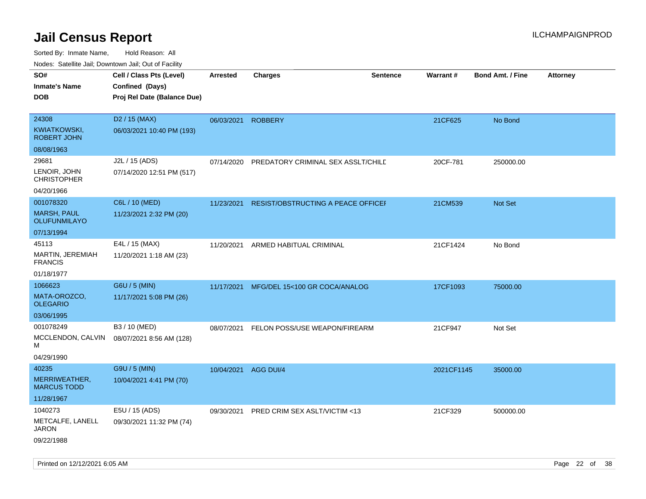| $1100000$ . Catomic ban, Domntonn ban, Oat of Fability<br>SO#<br><b>Inmate's Name</b><br><b>DOB</b> | Cell / Class Pts (Level)<br>Confined (Days)<br>Proj Rel Date (Balance Due) | Arrested   | <b>Charges</b>                     | <b>Sentence</b> | <b>Warrant#</b> | <b>Bond Amt. / Fine</b> | <b>Attorney</b> |
|-----------------------------------------------------------------------------------------------------|----------------------------------------------------------------------------|------------|------------------------------------|-----------------|-----------------|-------------------------|-----------------|
| 24308<br><b>KWIATKOWSKI,</b><br><b>ROBERT JOHN</b>                                                  | D <sub>2</sub> / 15 (MAX)<br>06/03/2021 10:40 PM (193)                     | 06/03/2021 | <b>ROBBERY</b>                     |                 | 21CF625         | No Bond                 |                 |
| 08/08/1963                                                                                          |                                                                            |            |                                    |                 |                 |                         |                 |
| 29681<br>LENOIR, JOHN<br><b>CHRISTOPHER</b>                                                         | J2L / 15 (ADS)<br>07/14/2020 12:51 PM (517)                                | 07/14/2020 | PREDATORY CRIMINAL SEX ASSLT/CHILD |                 | 20CF-781        | 250000.00               |                 |
| 04/20/1966                                                                                          |                                                                            |            |                                    |                 |                 |                         |                 |
| 001078320<br><b>MARSH, PAUL</b><br><b>OLUFUNMILAYO</b>                                              | C6L / 10 (MED)<br>11/23/2021 2:32 PM (20)                                  | 11/23/2021 | RESIST/OBSTRUCTING A PEACE OFFICEF |                 | 21CM539         | Not Set                 |                 |
| 07/13/1994                                                                                          |                                                                            |            |                                    |                 |                 |                         |                 |
| 45113<br>MARTIN, JEREMIAH<br><b>FRANCIS</b>                                                         | E4L / 15 (MAX)<br>11/20/2021 1:18 AM (23)                                  | 11/20/2021 | ARMED HABITUAL CRIMINAL            |                 | 21CF1424        | No Bond                 |                 |
| 01/18/1977                                                                                          |                                                                            |            |                                    |                 |                 |                         |                 |
| 1066623                                                                                             | G6U / 5 (MIN)                                                              | 11/17/2021 | MFG/DEL 15<100 GR COCA/ANALOG      |                 | 17CF1093        | 75000.00                |                 |
| MATA-OROZCO,<br><b>OLEGARIO</b>                                                                     | 11/17/2021 5:08 PM (26)                                                    |            |                                    |                 |                 |                         |                 |
| 03/06/1995                                                                                          |                                                                            |            |                                    |                 |                 |                         |                 |
| 001078249<br>MCCLENDON, CALVIN<br>М                                                                 | B3 / 10 (MED)<br>08/07/2021 8:56 AM (128)                                  | 08/07/2021 | FELON POSS/USE WEAPON/FIREARM      |                 | 21CF947         | Not Set                 |                 |
| 04/29/1990                                                                                          |                                                                            |            |                                    |                 |                 |                         |                 |
| 40235                                                                                               | G9U / 5 (MIN)                                                              | 10/04/2021 | AGG DUI/4                          |                 | 2021CF1145      | 35000.00                |                 |
| MERRIWEATHER,<br><b>MARCUS TODD</b>                                                                 | 10/04/2021 4:41 PM (70)                                                    |            |                                    |                 |                 |                         |                 |
| 11/28/1967                                                                                          |                                                                            |            |                                    |                 |                 |                         |                 |
| 1040273                                                                                             | E5U / 15 (ADS)                                                             | 09/30/2021 | PRED CRIM SEX ASLT/VICTIM <13      |                 | 21CF329         | 500000.00               |                 |
| METCALFE, LANELL<br>JARON<br>09/22/1988                                                             | 09/30/2021 11:32 PM (74)                                                   |            |                                    |                 |                 |                         |                 |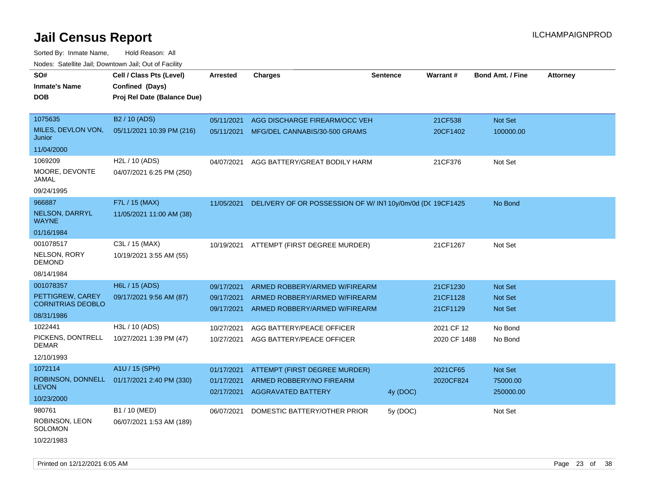| Noues. Salenne Jan, Downlown Jan, Out or Facility |                             |                          |                                                                |          |                      |                                  |                 |
|---------------------------------------------------|-----------------------------|--------------------------|----------------------------------------------------------------|----------|----------------------|----------------------------------|-----------------|
| SO#                                               | Cell / Class Pts (Level)    | Arrested                 | <b>Charges</b>                                                 | Sentence | Warrant#             | <b>Bond Amt. / Fine</b>          | <b>Attorney</b> |
| <b>Inmate's Name</b>                              | Confined (Days)             |                          |                                                                |          |                      |                                  |                 |
| <b>DOB</b>                                        | Proj Rel Date (Balance Due) |                          |                                                                |          |                      |                                  |                 |
|                                                   |                             |                          |                                                                |          |                      |                                  |                 |
| 1075635                                           | B <sub>2</sub> / 10 (ADS)   | 05/11/2021               | AGG DISCHARGE FIREARM/OCC VEH                                  |          | 21CF538              | Not Set                          |                 |
| MILES, DEVLON VON,<br>Junior                      | 05/11/2021 10:39 PM (216)   | 05/11/2021               | MFG/DEL CANNABIS/30-500 GRAMS                                  |          | 20CF1402             | 100000.00                        |                 |
| 11/04/2000                                        |                             |                          |                                                                |          |                      |                                  |                 |
| 1069209                                           | H2L / 10 (ADS)              | 04/07/2021               | AGG BATTERY/GREAT BODILY HARM                                  |          | 21CF376              | Not Set                          |                 |
| MOORE, DEVONTE<br>JAMAL                           | 04/07/2021 6:25 PM (250)    |                          |                                                                |          |                      |                                  |                 |
| 09/24/1995                                        |                             |                          |                                                                |          |                      |                                  |                 |
| 966887                                            | F7L / 15 (MAX)              | 11/05/2021               | DELIVERY OF OR POSSESSION OF W/ IN1 10y/0m/0d (DC 19CF1425     |          |                      | No Bond                          |                 |
| <b>NELSON, DARRYL</b><br><b>WAYNE</b>             | 11/05/2021 11:00 AM (38)    |                          |                                                                |          |                      |                                  |                 |
| 01/16/1984                                        |                             |                          |                                                                |          |                      |                                  |                 |
| 001078517                                         | C3L / 15 (MAX)              |                          | 10/19/2021 ATTEMPT (FIRST DEGREE MURDER)                       |          | 21CF1267             | Not Set                          |                 |
| NELSON, RORY<br>DEMOND                            | 10/19/2021 3:55 AM (55)     |                          |                                                                |          |                      |                                  |                 |
| 08/14/1984                                        |                             |                          |                                                                |          |                      |                                  |                 |
| 001078357                                         | H6L / 15 (ADS)              | 09/17/2021               | ARMED ROBBERY/ARMED W/FIREARM                                  |          | 21CF1230             | <b>Not Set</b>                   |                 |
| PETTIGREW, CAREY<br><b>CORNITRIAS DEOBLO</b>      | 09/17/2021 9:56 AM (87)     | 09/17/2021<br>09/17/2021 | ARMED ROBBERY/ARMED W/FIREARM<br>ARMED ROBBERY/ARMED W/FIREARM |          | 21CF1128<br>21CF1129 | <b>Not Set</b><br><b>Not Set</b> |                 |
| 08/31/1986                                        |                             |                          |                                                                |          |                      |                                  |                 |
| 1022441                                           | H3L / 10 (ADS)              | 10/27/2021               | AGG BATTERY/PEACE OFFICER                                      |          | 2021 CF 12           | No Bond                          |                 |
| PICKENS, DONTRELL<br>DEMAR                        | 10/27/2021 1:39 PM (47)     | 10/27/2021               | AGG BATTERY/PEACE OFFICER                                      |          | 2020 CF 1488         | No Bond                          |                 |
| 12/10/1993                                        |                             |                          |                                                                |          |                      |                                  |                 |
| 1072114                                           | A1U / 15 (SPH)              | 01/17/2021               | ATTEMPT (FIRST DEGREE MURDER)                                  |          | 2021CF65             | Not Set                          |                 |
| ROBINSON, DONNELL                                 | 01/17/2021 2:40 PM (330)    | 01/17/2021               | ARMED ROBBERY/NO FIREARM                                       |          | 2020CF824            | 75000.00                         |                 |
| <b>LEVON</b>                                      |                             | 02/17/2021               | <b>AGGRAVATED BATTERY</b>                                      | 4y (DOC) |                      | 250000.00                        |                 |
| 10/23/2000                                        |                             |                          |                                                                |          |                      |                                  |                 |
| 980761                                            | B1 / 10 (MED)               | 06/07/2021               | DOMESTIC BATTERY/OTHER PRIOR                                   | 5y (DOC) |                      | Not Set                          |                 |
| ROBINSON, LEON<br>SOLOMON                         | 06/07/2021 1:53 AM (189)    |                          |                                                                |          |                      |                                  |                 |
| 10/22/1983                                        |                             |                          |                                                                |          |                      |                                  |                 |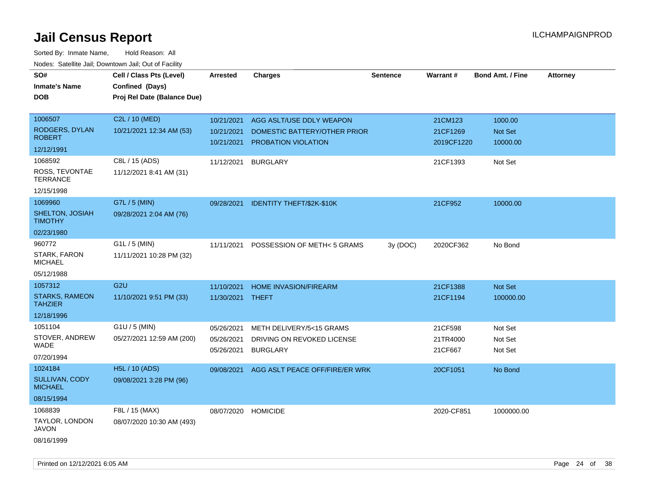| roaco. Oatomto dan, Downtown dan, Oat or Fability |                             |                     |                                           |                 |            |                         |                 |
|---------------------------------------------------|-----------------------------|---------------------|-------------------------------------------|-----------------|------------|-------------------------|-----------------|
| SO#                                               | Cell / Class Pts (Level)    | <b>Arrested</b>     | <b>Charges</b>                            | <b>Sentence</b> | Warrant#   | <b>Bond Amt. / Fine</b> | <b>Attorney</b> |
| <b>Inmate's Name</b>                              | Confined (Days)             |                     |                                           |                 |            |                         |                 |
| <b>DOB</b>                                        | Proj Rel Date (Balance Due) |                     |                                           |                 |            |                         |                 |
|                                                   |                             |                     |                                           |                 |            |                         |                 |
| 1006507                                           | C2L / 10 (MED)              | 10/21/2021          | AGG ASLT/USE DDLY WEAPON                  |                 | 21CM123    | 1000.00                 |                 |
| RODGERS, DYLAN                                    | 10/21/2021 12:34 AM (53)    | 10/21/2021          | DOMESTIC BATTERY/OTHER PRIOR              |                 | 21CF1269   | Not Set                 |                 |
| <b>ROBERT</b>                                     |                             | 10/21/2021          | PROBATION VIOLATION                       |                 | 2019CF1220 | 10000.00                |                 |
| 12/12/1991                                        |                             |                     |                                           |                 |            |                         |                 |
| 1068592                                           | C8L / 15 (ADS)              | 11/12/2021          | <b>BURGLARY</b>                           |                 | 21CF1393   | Not Set                 |                 |
| ROSS, TEVONTAE<br><b>TERRANCE</b>                 | 11/12/2021 8:41 AM (31)     |                     |                                           |                 |            |                         |                 |
| 12/15/1998                                        |                             |                     |                                           |                 |            |                         |                 |
| 1069960                                           | G7L / 5 (MIN)               |                     | 09/28/2021 IDENTITY THEFT/\$2K-\$10K      |                 | 21CF952    | 10000.00                |                 |
| SHELTON, JOSIAH<br><b>TIMOTHY</b>                 | 09/28/2021 2:04 AM (76)     |                     |                                           |                 |            |                         |                 |
| 02/23/1980                                        |                             |                     |                                           |                 |            |                         |                 |
| 960772                                            | $G1L / 5$ (MIN)             | 11/11/2021          | POSSESSION OF METH< 5 GRAMS               | 3y (DOC)        | 2020CF362  | No Bond                 |                 |
| STARK, FARON<br><b>MICHAEL</b>                    | 11/11/2021 10:28 PM (32)    |                     |                                           |                 |            |                         |                 |
| 05/12/1988                                        |                             |                     |                                           |                 |            |                         |                 |
| 1057312                                           | G <sub>2U</sub>             | 11/10/2021          | <b>HOME INVASION/FIREARM</b>              |                 | 21CF1388   | Not Set                 |                 |
| <b>STARKS, RAMEON</b><br><b>TAHZIER</b>           | 11/10/2021 9:51 PM (33)     | 11/30/2021 THEFT    |                                           |                 | 21CF1194   | 100000.00               |                 |
| 12/18/1996                                        |                             |                     |                                           |                 |            |                         |                 |
| 1051104                                           | $G1U / 5$ (MIN)             | 05/26/2021          | METH DELIVERY/5<15 GRAMS                  |                 | 21CF598    | Not Set                 |                 |
| STOVER, ANDREW                                    | 05/27/2021 12:59 AM (200)   | 05/26/2021          | DRIVING ON REVOKED LICENSE                |                 | 21TR4000   | Not Set                 |                 |
| <b>WADE</b>                                       |                             | 05/26/2021          | <b>BURGLARY</b>                           |                 | 21CF667    | Not Set                 |                 |
| 07/20/1994                                        |                             |                     |                                           |                 |            |                         |                 |
| 1024184                                           | H5L / 10 (ADS)              |                     | 09/08/2021 AGG ASLT PEACE OFF/FIRE/ER WRK |                 | 20CF1051   | No Bond                 |                 |
| SULLIVAN, CODY<br><b>MICHAEL</b>                  | 09/08/2021 3:28 PM (96)     |                     |                                           |                 |            |                         |                 |
| 08/15/1994                                        |                             |                     |                                           |                 |            |                         |                 |
| 1068839                                           | F8L / 15 (MAX)              | 08/07/2020 HOMICIDE |                                           |                 | 2020-CF851 | 1000000.00              |                 |
| TAYLOR, LONDON<br>JAVON                           | 08/07/2020 10:30 AM (493)   |                     |                                           |                 |            |                         |                 |
| 08/16/1999                                        |                             |                     |                                           |                 |            |                         |                 |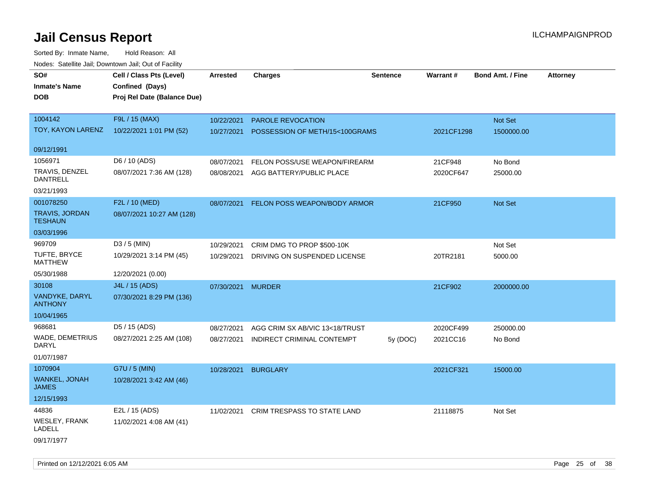| rouce. Calcinic Jan, Downtown Jan, Out or Facility |                             |                 |                                    |                 |                 |                         |                 |
|----------------------------------------------------|-----------------------------|-----------------|------------------------------------|-----------------|-----------------|-------------------------|-----------------|
| SO#                                                | Cell / Class Pts (Level)    | <b>Arrested</b> | <b>Charges</b>                     | <b>Sentence</b> | <b>Warrant#</b> | <b>Bond Amt. / Fine</b> | <b>Attorney</b> |
| <b>Inmate's Name</b>                               | Confined (Days)             |                 |                                    |                 |                 |                         |                 |
| <b>DOB</b>                                         | Proj Rel Date (Balance Due) |                 |                                    |                 |                 |                         |                 |
|                                                    |                             |                 |                                    |                 |                 |                         |                 |
| 1004142                                            | F9L / 15 (MAX)              | 10/22/2021      | PAROLE REVOCATION                  |                 |                 | Not Set                 |                 |
| TOY, KAYON LARENZ                                  | 10/22/2021 1:01 PM (52)     | 10/27/2021      | POSSESSION OF METH/15<100GRAMS     |                 | 2021CF1298      | 1500000.00              |                 |
|                                                    |                             |                 |                                    |                 |                 |                         |                 |
| 09/12/1991                                         |                             |                 |                                    |                 |                 |                         |                 |
| 1056971                                            | D6 / 10 (ADS)               | 08/07/2021      | FELON POSS/USE WEAPON/FIREARM      |                 | 21CF948         | No Bond                 |                 |
| TRAVIS, DENZEL<br><b>DANTRELL</b>                  | 08/07/2021 7:36 AM (128)    | 08/08/2021      | AGG BATTERY/PUBLIC PLACE           |                 | 2020CF647       | 25000.00                |                 |
| 03/21/1993                                         |                             |                 |                                    |                 |                 |                         |                 |
| 001078250                                          | F2L / 10 (MED)              | 08/07/2021      | FELON POSS WEAPON/BODY ARMOR       |                 | 21CF950         | Not Set                 |                 |
| TRAVIS, JORDAN<br><b>TESHAUN</b>                   | 08/07/2021 10:27 AM (128)   |                 |                                    |                 |                 |                         |                 |
| 03/03/1996                                         |                             |                 |                                    |                 |                 |                         |                 |
| 969709                                             | $D3/5$ (MIN)                | 10/29/2021      | CRIM DMG TO PROP \$500-10K         |                 |                 | Not Set                 |                 |
| <b>TUFTE, BRYCE</b><br><b>MATTHEW</b>              | 10/29/2021 3:14 PM (45)     | 10/29/2021      | DRIVING ON SUSPENDED LICENSE       |                 | 20TR2181        | 5000.00                 |                 |
| 05/30/1988                                         | 12/20/2021 (0.00)           |                 |                                    |                 |                 |                         |                 |
| 30108                                              | J4L / 15 (ADS)              | 07/30/2021      | <b>MURDER</b>                      |                 | 21CF902         | 2000000.00              |                 |
| VANDYKE, DARYL<br><b>ANTHONY</b>                   | 07/30/2021 8:29 PM (136)    |                 |                                    |                 |                 |                         |                 |
| 10/04/1965                                         |                             |                 |                                    |                 |                 |                         |                 |
| 968681                                             | D5 / 15 (ADS)               | 08/27/2021      | AGG CRIM SX AB/VIC 13<18/TRUST     |                 | 2020CF499       | 250000.00               |                 |
| <b>WADE, DEMETRIUS</b><br>DARYL                    | 08/27/2021 2:25 AM (108)    | 08/27/2021      | INDIRECT CRIMINAL CONTEMPT         | 5y(DOC)         | 2021CC16        | No Bond                 |                 |
| 01/07/1987                                         |                             |                 |                                    |                 |                 |                         |                 |
| 1070904                                            | G7U / 5 (MIN)               | 10/28/2021      | <b>BURGLARY</b>                    |                 | 2021CF321       | 15000.00                |                 |
| WANKEL, JONAH<br><b>JAMES</b>                      | 10/28/2021 3:42 AM (46)     |                 |                                    |                 |                 |                         |                 |
| 12/15/1993                                         |                             |                 |                                    |                 |                 |                         |                 |
| 44836                                              | E2L / 15 (ADS)              | 11/02/2021      | <b>CRIM TRESPASS TO STATE LAND</b> |                 | 21118875        | Not Set                 |                 |
| WESLEY, FRANK<br><b>LADELL</b>                     | 11/02/2021 4:08 AM (41)     |                 |                                    |                 |                 |                         |                 |
| 09/17/1977                                         |                             |                 |                                    |                 |                 |                         |                 |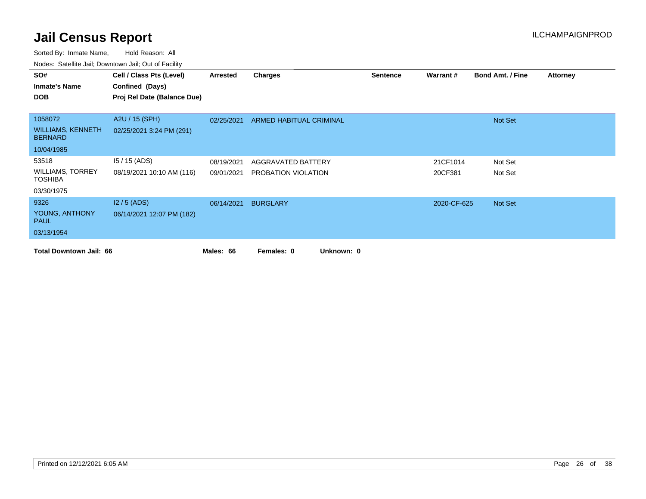| SO#                                        | Cell / Class Pts (Level)    | Arrested   | <b>Charges</b>           | <b>Sentence</b> | <b>Warrant#</b> | <b>Bond Amt. / Fine</b> | <b>Attorney</b> |
|--------------------------------------------|-----------------------------|------------|--------------------------|-----------------|-----------------|-------------------------|-----------------|
| <b>Inmate's Name</b>                       | Confined (Days)             |            |                          |                 |                 |                         |                 |
| <b>DOB</b>                                 | Proj Rel Date (Balance Due) |            |                          |                 |                 |                         |                 |
|                                            |                             |            |                          |                 |                 |                         |                 |
| 1058072                                    | A2U / 15 (SPH)              | 02/25/2021 | ARMED HABITUAL CRIMINAL  |                 |                 | Not Set                 |                 |
| <b>WILLIAMS, KENNETH</b><br><b>BERNARD</b> | 02/25/2021 3:24 PM (291)    |            |                          |                 |                 |                         |                 |
| 10/04/1985                                 |                             |            |                          |                 |                 |                         |                 |
| 53518                                      | $15/15$ (ADS)               | 08/19/2021 | AGGRAVATED BATTERY       |                 | 21CF1014        | Not Set                 |                 |
| <b>WILLIAMS, TORREY</b><br><b>TOSHIBA</b>  | 08/19/2021 10:10 AM (116)   | 09/01/2021 | PROBATION VIOLATION      |                 | 20CF381         | Not Set                 |                 |
| 03/30/1975                                 |                             |            |                          |                 |                 |                         |                 |
| 9326                                       | $12/5$ (ADS)                | 06/14/2021 | <b>BURGLARY</b>          |                 | 2020-CF-625     | Not Set                 |                 |
| YOUNG, ANTHONY<br><b>PAUL</b>              | 06/14/2021 12:07 PM (182)   |            |                          |                 |                 |                         |                 |
| 03/13/1954                                 |                             |            |                          |                 |                 |                         |                 |
| <b>Total Downtown Jail: 66</b>             |                             | Males: 66  | Unknown: 0<br>Females: 0 |                 |                 |                         |                 |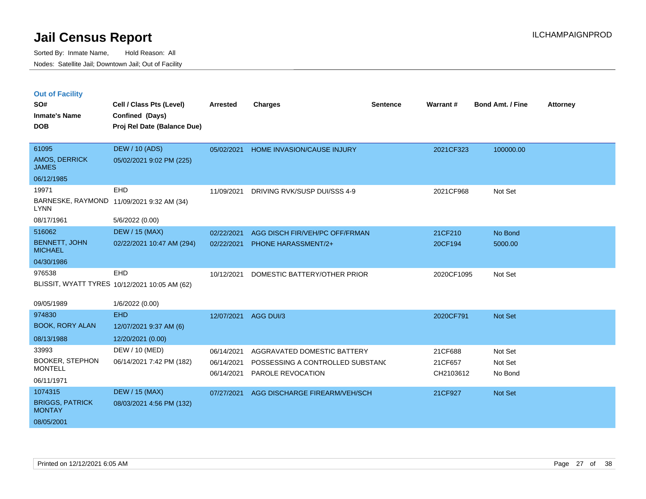| <b>Out of Facility</b> |  |  |
|------------------------|--|--|
|                        |  |  |

| SO#<br><b>Inmate's Name</b>             | Cell / Class Pts (Level)<br>Confined (Days)   | Arrested   | <b>Charges</b>                   | <b>Sentence</b> | Warrant#   | <b>Bond Amt. / Fine</b> | <b>Attorney</b> |
|-----------------------------------------|-----------------------------------------------|------------|----------------------------------|-----------------|------------|-------------------------|-----------------|
| <b>DOB</b>                              | Proj Rel Date (Balance Due)                   |            |                                  |                 |            |                         |                 |
| 61095                                   | <b>DEW / 10 (ADS)</b>                         | 05/02/2021 | HOME INVASION/CAUSE INJURY       |                 | 2021CF323  | 100000.00               |                 |
| AMOS, DERRICK<br><b>JAMES</b>           | 05/02/2021 9:02 PM (225)                      |            |                                  |                 |            |                         |                 |
| 06/12/1985                              |                                               |            |                                  |                 |            |                         |                 |
| 19971                                   | EHD                                           | 11/09/2021 | DRIVING RVK/SUSP DUI/SSS 4-9     |                 | 2021CF968  | Not Set                 |                 |
| <b>LYNN</b>                             | BARNESKE, RAYMOND 11/09/2021 9:32 AM (34)     |            |                                  |                 |            |                         |                 |
| 08/17/1961                              | 5/6/2022 (0.00)                               |            |                                  |                 |            |                         |                 |
| 516062                                  | <b>DEW / 15 (MAX)</b>                         | 02/22/2021 | AGG DISCH FIR/VEH/PC OFF/FRMAN   |                 | 21CF210    | No Bond                 |                 |
| <b>BENNETT, JOHN</b><br><b>MICHAEL</b>  | 02/22/2021 10:47 AM (294)                     | 02/22/2021 | <b>PHONE HARASSMENT/2+</b>       |                 | 20CF194    | 5000.00                 |                 |
| 04/30/1986                              |                                               |            |                                  |                 |            |                         |                 |
| 976538                                  | EHD                                           | 10/12/2021 | DOMESTIC BATTERY/OTHER PRIOR     |                 | 2020CF1095 | Not Set                 |                 |
|                                         | BLISSIT, WYATT TYRES 10/12/2021 10:05 AM (62) |            |                                  |                 |            |                         |                 |
| 09/05/1989                              | 1/6/2022 (0.00)                               |            |                                  |                 |            |                         |                 |
| 974830                                  | <b>EHD</b>                                    | 12/07/2021 | AGG DUI/3                        |                 | 2020CF791  | Not Set                 |                 |
| <b>BOOK, RORY ALAN</b>                  | 12/07/2021 9:37 AM (6)                        |            |                                  |                 |            |                         |                 |
| 08/13/1988                              | 12/20/2021 (0.00)                             |            |                                  |                 |            |                         |                 |
| 33993                                   | DEW / 10 (MED)                                | 06/14/2021 | AGGRAVATED DOMESTIC BATTERY      |                 | 21CF688    | Not Set                 |                 |
| <b>BOOKER, STEPHON</b>                  | 06/14/2021 7:42 PM (182)                      | 06/14/2021 | POSSESSING A CONTROLLED SUBSTANC |                 | 21CF657    | Not Set                 |                 |
| <b>MONTELL</b>                          |                                               | 06/14/2021 | PAROLE REVOCATION                |                 | CH2103612  | No Bond                 |                 |
| 06/11/1971                              |                                               |            |                                  |                 |            |                         |                 |
| 1074315                                 | <b>DEW / 15 (MAX)</b>                         | 07/27/2021 | AGG DISCHARGE FIREARM/VEH/SCH    |                 | 21CF927    | Not Set                 |                 |
| <b>BRIGGS, PATRICK</b><br><b>MONTAY</b> | 08/03/2021 4:56 PM (132)                      |            |                                  |                 |            |                         |                 |
| 08/05/2001                              |                                               |            |                                  |                 |            |                         |                 |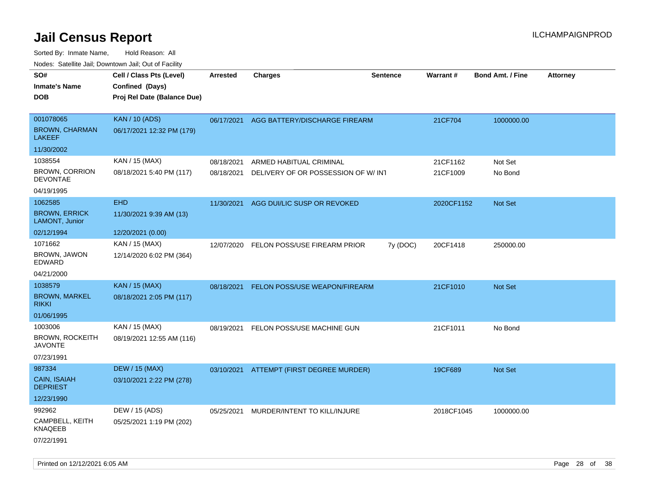| roaco. Catolino dall, Downtown dall, Out of Fability |            |         |                                                                                                                                                      |                                                                                                                                                          |                         |                                     |
|------------------------------------------------------|------------|---------|------------------------------------------------------------------------------------------------------------------------------------------------------|----------------------------------------------------------------------------------------------------------------------------------------------------------|-------------------------|-------------------------------------|
| Cell / Class Pts (Level)                             | Arrested   | Charges | <b>Sentence</b>                                                                                                                                      | <b>Warrant#</b>                                                                                                                                          | <b>Bond Amt. / Fine</b> | <b>Attorney</b>                     |
| Confined (Days)                                      |            |         |                                                                                                                                                      |                                                                                                                                                          |                         |                                     |
| Proj Rel Date (Balance Due)                          |            |         |                                                                                                                                                      |                                                                                                                                                          |                         |                                     |
|                                                      |            |         |                                                                                                                                                      |                                                                                                                                                          |                         |                                     |
| <b>KAN / 10 (ADS)</b>                                | 06/17/2021 |         |                                                                                                                                                      | 21CF704                                                                                                                                                  | 1000000.00              |                                     |
| 06/17/2021 12:32 PM (179)                            |            |         |                                                                                                                                                      |                                                                                                                                                          |                         |                                     |
|                                                      |            |         |                                                                                                                                                      |                                                                                                                                                          |                         |                                     |
| KAN / 15 (MAX)                                       | 08/18/2021 |         |                                                                                                                                                      | 21CF1162                                                                                                                                                 | Not Set                 |                                     |
| 08/18/2021 5:40 PM (117)                             | 08/18/2021 |         |                                                                                                                                                      | 21CF1009                                                                                                                                                 | No Bond                 |                                     |
|                                                      |            |         |                                                                                                                                                      |                                                                                                                                                          |                         |                                     |
| <b>EHD</b>                                           | 11/30/2021 |         |                                                                                                                                                      |                                                                                                                                                          | Not Set                 |                                     |
| 11/30/2021 9:39 AM (13)                              |            |         |                                                                                                                                                      |                                                                                                                                                          |                         |                                     |
| 12/20/2021 (0.00)                                    |            |         |                                                                                                                                                      |                                                                                                                                                          |                         |                                     |
| KAN / 15 (MAX)                                       | 12/07/2020 |         | 7y (DOC)                                                                                                                                             | 20CF1418                                                                                                                                                 | 250000.00               |                                     |
| 12/14/2020 6:02 PM (364)                             |            |         |                                                                                                                                                      |                                                                                                                                                          |                         |                                     |
|                                                      |            |         |                                                                                                                                                      |                                                                                                                                                          |                         |                                     |
| <b>KAN / 15 (MAX)</b>                                | 08/18/2021 |         |                                                                                                                                                      | 21CF1010                                                                                                                                                 |                         |                                     |
| 08/18/2021 2:05 PM (117)                             |            |         |                                                                                                                                                      |                                                                                                                                                          |                         |                                     |
|                                                      |            |         |                                                                                                                                                      |                                                                                                                                                          |                         |                                     |
| KAN / 15 (MAX)                                       | 08/19/2021 |         |                                                                                                                                                      | 21CF1011                                                                                                                                                 | No Bond                 |                                     |
| 08/19/2021 12:55 AM (116)                            |            |         |                                                                                                                                                      |                                                                                                                                                          |                         |                                     |
|                                                      |            |         |                                                                                                                                                      |                                                                                                                                                          |                         |                                     |
| <b>DEW / 15 (MAX)</b>                                |            |         |                                                                                                                                                      | 19CF689                                                                                                                                                  | Not Set                 |                                     |
| 03/10/2021 2:22 PM (278)                             |            |         |                                                                                                                                                      |                                                                                                                                                          |                         |                                     |
|                                                      |            |         |                                                                                                                                                      |                                                                                                                                                          |                         |                                     |
| DEW / 15 (ADS)                                       | 05/25/2021 |         |                                                                                                                                                      |                                                                                                                                                          | 1000000.00              |                                     |
| 05/25/2021 1:19 PM (202)                             |            |         |                                                                                                                                                      |                                                                                                                                                          |                         |                                     |
|                                                      |            |         |                                                                                                                                                      |                                                                                                                                                          |                         |                                     |
|                                                      |            |         | ARMED HABITUAL CRIMINAL<br>AGG DUI/LIC SUSP OR REVOKED<br>FELON POSS/USE FIREARM PRIOR<br>FELON POSS/USE MACHINE GUN<br>MURDER/INTENT TO KILL/INJURE | AGG BATTERY/DISCHARGE FIREARM<br>DELIVERY OF OR POSSESSION OF W/ INT<br><b>FELON POSS/USE WEAPON/FIREARM</b><br>03/10/2021 ATTEMPT (FIRST DEGREE MURDER) |                         | 2020CF1152<br>Not Set<br>2018CF1045 |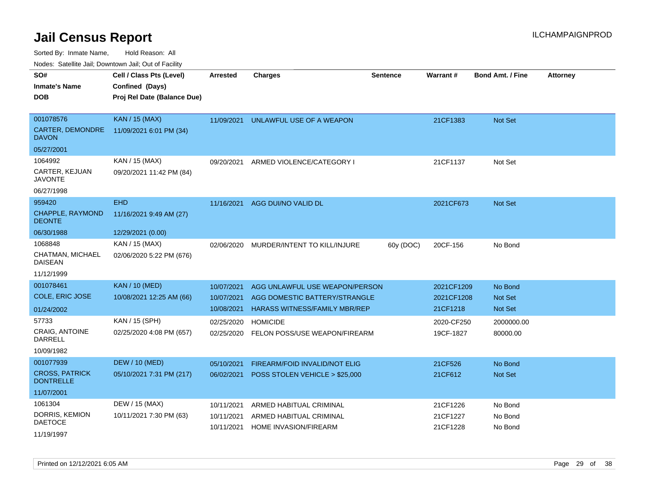Sorted By: Inmate Name, Hold Reason: All

Nodes: Satellite Jail; Downtown Jail; Out of Facility

| SO#                                       | Cell / Class Pts (Level)    | <b>Arrested</b> | <b>Charges</b>                       | <b>Sentence</b> | <b>Warrant#</b> | <b>Bond Amt. / Fine</b> | <b>Attorney</b> |
|-------------------------------------------|-----------------------------|-----------------|--------------------------------------|-----------------|-----------------|-------------------------|-----------------|
| <b>Inmate's Name</b>                      | Confined (Days)             |                 |                                      |                 |                 |                         |                 |
| <b>DOB</b>                                | Proj Rel Date (Balance Due) |                 |                                      |                 |                 |                         |                 |
|                                           |                             |                 |                                      |                 |                 |                         |                 |
| 001078576                                 | <b>KAN / 15 (MAX)</b>       | 11/09/2021      | UNLAWFUL USE OF A WEAPON             |                 | 21CF1383        | <b>Not Set</b>          |                 |
| CARTER, DEMONDRE<br><b>DAVON</b>          | 11/09/2021 6:01 PM (34)     |                 |                                      |                 |                 |                         |                 |
| 05/27/2001                                |                             |                 |                                      |                 |                 |                         |                 |
| 1064992                                   | KAN / 15 (MAX)              | 09/20/2021      | ARMED VIOLENCE/CATEGORY I            |                 | 21CF1137        | Not Set                 |                 |
| CARTER, KEJUAN<br><b>JAVONTE</b>          | 09/20/2021 11:42 PM (84)    |                 |                                      |                 |                 |                         |                 |
| 06/27/1998                                |                             |                 |                                      |                 |                 |                         |                 |
| 959420                                    | <b>EHD</b>                  | 11/16/2021      | AGG DUI/NO VALID DL                  |                 | 2021CF673       | Not Set                 |                 |
| CHAPPLE, RAYMOND<br><b>DEONTE</b>         | 11/16/2021 9:49 AM (27)     |                 |                                      |                 |                 |                         |                 |
| 06/30/1988                                | 12/29/2021 (0.00)           |                 |                                      |                 |                 |                         |                 |
| 1068848                                   | KAN / 15 (MAX)              | 02/06/2020      | MURDER/INTENT TO KILL/INJURE         | 60y (DOC)       | 20CF-156        | No Bond                 |                 |
| CHATMAN, MICHAEL<br><b>DAISEAN</b>        | 02/06/2020 5:22 PM (676)    |                 |                                      |                 |                 |                         |                 |
| 11/12/1999                                |                             |                 |                                      |                 |                 |                         |                 |
| 001078461                                 | <b>KAN / 10 (MED)</b>       | 10/07/2021      | AGG UNLAWFUL USE WEAPON/PERSON       |                 | 2021CF1209      | No Bond                 |                 |
| COLE, ERIC JOSE                           | 10/08/2021 12:25 AM (66)    | 10/07/2021      | AGG DOMESTIC BATTERY/STRANGLE        |                 | 2021CF1208      | <b>Not Set</b>          |                 |
| 01/24/2002                                |                             | 10/08/2021      | <b>HARASS WITNESS/FAMILY MBR/REP</b> |                 | 21CF1218        | <b>Not Set</b>          |                 |
| 57733                                     | KAN / 15 (SPH)              | 02/25/2020      | <b>HOMICIDE</b>                      |                 | 2020-CF250      | 2000000.00              |                 |
| <b>CRAIG, ANTOINE</b>                     | 02/25/2020 4:08 PM (657)    | 02/25/2020      | FELON POSS/USE WEAPON/FIREARM        |                 | 19CF-1827       | 80000.00                |                 |
| DARRELL                                   |                             |                 |                                      |                 |                 |                         |                 |
| 10/09/1982                                |                             |                 |                                      |                 |                 |                         |                 |
| 001077939                                 | <b>DEW / 10 (MED)</b>       | 05/10/2021      | FIREARM/FOID INVALID/NOT ELIG        |                 | 21CF526         | No Bond                 |                 |
| <b>CROSS, PATRICK</b><br><b>DONTRELLE</b> | 05/10/2021 7:31 PM (217)    | 06/02/2021      | POSS STOLEN VEHICLE > \$25,000       |                 | 21CF612         | <b>Not Set</b>          |                 |
| 11/07/2001                                |                             |                 |                                      |                 |                 |                         |                 |
| 1061304                                   | DEW / 15 (MAX)              | 10/11/2021      | ARMED HABITUAL CRIMINAL              |                 | 21CF1226        | No Bond                 |                 |
| DORRIS, KEMION                            | 10/11/2021 7:30 PM (63)     | 10/11/2021      | ARMED HABITUAL CRIMINAL              |                 | 21CF1227        | No Bond                 |                 |
| <b>DAETOCE</b>                            |                             | 10/11/2021      | <b>HOME INVASION/FIREARM</b>         |                 | 21CF1228        | No Bond                 |                 |
| 11/19/1997                                |                             |                 |                                      |                 |                 |                         |                 |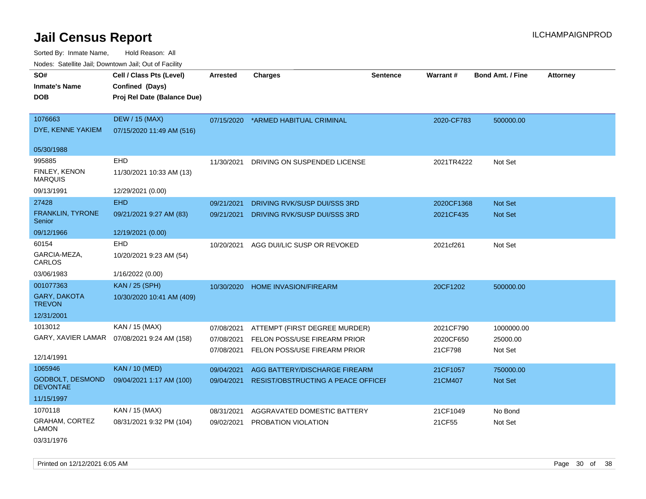Sorted By: Inmate Name, Hold Reason: All Nodes: Satellite Jail; Downtown Jail; Out of Facility

| roaco. Catolino cali, Downtown cali, Out of Fability |                                              |                 |                                    |                 |            |                         |                 |
|------------------------------------------------------|----------------------------------------------|-----------------|------------------------------------|-----------------|------------|-------------------------|-----------------|
| SO#                                                  | Cell / Class Pts (Level)                     | <b>Arrested</b> | Charges                            | <b>Sentence</b> | Warrant#   | <b>Bond Amt. / Fine</b> | <b>Attorney</b> |
| <b>Inmate's Name</b>                                 | Confined (Days)                              |                 |                                    |                 |            |                         |                 |
| <b>DOB</b>                                           | Proj Rel Date (Balance Due)                  |                 |                                    |                 |            |                         |                 |
|                                                      |                                              |                 |                                    |                 |            |                         |                 |
| 1076663                                              | <b>DEW / 15 (MAX)</b>                        | 07/15/2020      | *ARMED HABITUAL CRIMINAL           |                 | 2020-CF783 | 500000.00               |                 |
| DYE, KENNE YAKIEM                                    | 07/15/2020 11:49 AM (516)                    |                 |                                    |                 |            |                         |                 |
| 05/30/1988                                           |                                              |                 |                                    |                 |            |                         |                 |
| 995885                                               | EHD                                          | 11/30/2021      | DRIVING ON SUSPENDED LICENSE       |                 | 2021TR4222 | Not Set                 |                 |
| FINLEY, KENON<br><b>MARQUIS</b>                      | 11/30/2021 10:33 AM (13)                     |                 |                                    |                 |            |                         |                 |
| 09/13/1991                                           | 12/29/2021 (0.00)                            |                 |                                    |                 |            |                         |                 |
| 27428                                                | <b>EHD</b>                                   | 09/21/2021      | DRIVING RVK/SUSP DUI/SSS 3RD       |                 | 2020CF1368 | <b>Not Set</b>          |                 |
| <b>FRANKLIN, TYRONE</b><br>Senior                    | 09/21/2021 9:27 AM (83)                      | 09/21/2021      | DRIVING RVK/SUSP DUI/SSS 3RD       |                 | 2021CF435  | Not Set                 |                 |
| 09/12/1966                                           | 12/19/2021 (0.00)                            |                 |                                    |                 |            |                         |                 |
| 60154                                                | EHD                                          | 10/20/2021      | AGG DUI/LIC SUSP OR REVOKED        |                 | 2021cf261  | Not Set                 |                 |
| GARCIA-MEZA,<br>CARLOS                               | 10/20/2021 9:23 AM (54)                      |                 |                                    |                 |            |                         |                 |
| 03/06/1983                                           | 1/16/2022 (0.00)                             |                 |                                    |                 |            |                         |                 |
| 001077363                                            | <b>KAN / 25 (SPH)</b>                        | 10/30/2020      | <b>HOME INVASION/FIREARM</b>       |                 | 20CF1202   | 500000.00               |                 |
| <b>GARY, DAKOTA</b><br><b>TREVON</b>                 | 10/30/2020 10:41 AM (409)                    |                 |                                    |                 |            |                         |                 |
| 12/31/2001                                           |                                              |                 |                                    |                 |            |                         |                 |
| 1013012                                              | KAN / 15 (MAX)                               | 07/08/2021      | ATTEMPT (FIRST DEGREE MURDER)      |                 | 2021CF790  | 1000000.00              |                 |
|                                                      | GARY, XAVIER LAMAR  07/08/2021 9:24 AM (158) | 07/08/2021      | FELON POSS/USE FIREARM PRIOR       |                 | 2020CF650  | 25000.00                |                 |
| 12/14/1991                                           |                                              | 07/08/2021      | FELON POSS/USE FIREARM PRIOR       |                 | 21CF798    | Not Set                 |                 |
| 1065946                                              | <b>KAN / 10 (MED)</b>                        | 09/04/2021      | AGG BATTERY/DISCHARGE FIREARM      |                 | 21CF1057   | 750000.00               |                 |
| GODBOLT, DESMOND<br><b>DEVONTAE</b>                  | 09/04/2021 1:17 AM (100)                     | 09/04/2021      | RESIST/OBSTRUCTING A PEACE OFFICEI |                 | 21CM407    | <b>Not Set</b>          |                 |
| 11/15/1997                                           |                                              |                 |                                    |                 |            |                         |                 |
| 1070118                                              | KAN / 15 (MAX)                               | 08/31/2021      | AGGRAVATED DOMESTIC BATTERY        |                 | 21CF1049   | No Bond                 |                 |
| <b>GRAHAM, CORTEZ</b><br><b>LAMON</b>                | 08/31/2021 9:32 PM (104)                     | 09/02/2021      | PROBATION VIOLATION                |                 | 21CF55     | Not Set                 |                 |

03/31/1976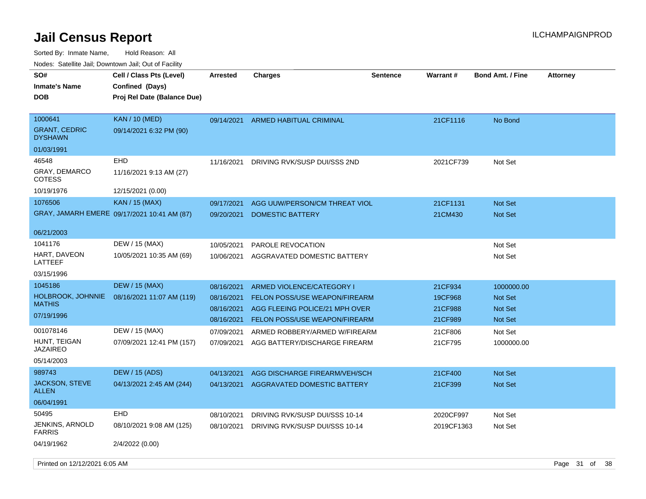Sorted By: Inmate Name, Hold Reason: All Nodes: Satellite Jail; Downtown Jail; Out of Facility

| roaco. Calcinio dan, Downtown dan, Oal or Fability |                                                                            |            |                                |                 |                 |                         |                 |
|----------------------------------------------------|----------------------------------------------------------------------------|------------|--------------------------------|-----------------|-----------------|-------------------------|-----------------|
| SO#<br>Inmate's Name<br><b>DOB</b>                 | Cell / Class Pts (Level)<br>Confined (Days)<br>Proj Rel Date (Balance Due) | Arrested   | <b>Charges</b>                 | <b>Sentence</b> | <b>Warrant#</b> | <b>Bond Amt. / Fine</b> | <b>Attorney</b> |
| 1000641<br><b>GRANT, CEDRIC</b><br><b>DYSHAWN</b>  | <b>KAN</b> / 10 (MED)<br>09/14/2021 6:32 PM (90)                           | 09/14/2021 | ARMED HABITUAL CRIMINAL        |                 | 21CF1116        | No Bond                 |                 |
| 01/03/1991                                         |                                                                            |            |                                |                 |                 |                         |                 |
| 46548                                              | EHD                                                                        | 11/16/2021 | DRIVING RVK/SUSP DUI/SSS 2ND   |                 | 2021CF739       | Not Set                 |                 |
| GRAY, DEMARCO<br>COTESS                            | 11/16/2021 9:13 AM (27)                                                    |            |                                |                 |                 |                         |                 |
| 10/19/1976                                         | 12/15/2021 (0.00)                                                          |            |                                |                 |                 |                         |                 |
| 1076506                                            | <b>KAN / 15 (MAX)</b>                                                      | 09/17/2021 | AGG UUW/PERSON/CM THREAT VIOL  |                 | 21CF1131        | <b>Not Set</b>          |                 |
|                                                    | GRAY, JAMARH EMERE 09/17/2021 10:41 AM (87)                                | 09/20/2021 | DOMESTIC BATTERY               |                 | 21CM430         | <b>Not Set</b>          |                 |
| 06/21/2003                                         |                                                                            |            |                                |                 |                 |                         |                 |
| 1041176                                            | DEW / 15 (MAX)                                                             | 10/05/2021 | <b>PAROLE REVOCATION</b>       |                 |                 | Not Set                 |                 |
| HART, DAVEON<br>LATTEEF                            | 10/05/2021 10:35 AM (69)                                                   | 10/06/2021 | AGGRAVATED DOMESTIC BATTERY    |                 |                 | Not Set                 |                 |
| 03/15/1996                                         |                                                                            |            |                                |                 |                 |                         |                 |
| 1045186                                            | <b>DEW / 15 (MAX)</b>                                                      | 08/16/2021 | ARMED VIOLENCE/CATEGORY I      |                 | 21CF934         | 1000000.00              |                 |
| HOLBROOK, JOHNNIE<br>MATHIS                        | 08/16/2021 11:07 AM (119)                                                  | 08/16/2021 | FELON POSS/USE WEAPON/FIREARM  |                 | 19CF968         | <b>Not Set</b>          |                 |
| 07/19/1996                                         |                                                                            | 08/16/2021 | AGG FLEEING POLICE/21 MPH OVER |                 | 21CF988         | <b>Not Set</b>          |                 |
|                                                    |                                                                            | 08/16/2021 | FELON POSS/USE WEAPON/FIREARM  |                 | 21CF989         | <b>Not Set</b>          |                 |
| 001078146<br>HUNT, TEIGAN                          | DEW / 15 (MAX)                                                             | 07/09/2021 | ARMED ROBBERY/ARMED W/FIREARM  |                 | 21CF806         | Not Set                 |                 |
| JAZAIREO                                           | 07/09/2021 12:41 PM (157)                                                  | 07/09/2021 | AGG BATTERY/DISCHARGE FIREARM  |                 | 21CF795         | 1000000.00              |                 |
| 05/14/2003                                         |                                                                            |            |                                |                 |                 |                         |                 |
| 989743                                             | <b>DEW / 15 (ADS)</b>                                                      | 04/13/2021 | AGG DISCHARGE FIREARM/VEH/SCH  |                 | 21CF400         | <b>Not Set</b>          |                 |
| <b>JACKSON, STEVE</b><br>ALLEN                     | 04/13/2021 2:45 AM (244)                                                   | 04/13/2021 | AGGRAVATED DOMESTIC BATTERY    |                 | 21CF399         | <b>Not Set</b>          |                 |
| 06/04/1991                                         |                                                                            |            |                                |                 |                 |                         |                 |
| 50495                                              | <b>EHD</b>                                                                 | 08/10/2021 | DRIVING RVK/SUSP DUI/SSS 10-14 |                 | 2020CF997       | Not Set                 |                 |
| JENKINS, ARNOLD<br>FARRIS                          | 08/10/2021 9:08 AM (125)                                                   | 08/10/2021 | DRIVING RVK/SUSP DUI/SSS 10-14 |                 | 2019CF1363      | Not Set                 |                 |
| 04/19/1962                                         | 2/4/2022 (0.00)                                                            |            |                                |                 |                 |                         |                 |

Printed on  $12/12/2021$  6:05 AM **Page 31** of 38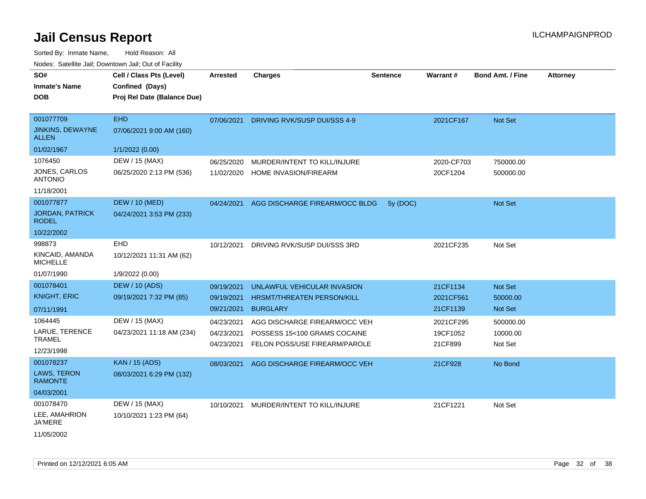Sorted By: Inmate Name, Hold Reason: All

|                                         | Nodes: Satellite Jail; Downtown Jail; Out of Facility |            |                                |                 |            |                         |                 |
|-----------------------------------------|-------------------------------------------------------|------------|--------------------------------|-----------------|------------|-------------------------|-----------------|
| SO#                                     | Cell / Class Pts (Level)                              | Arrested   | <b>Charges</b>                 | <b>Sentence</b> | Warrant#   | <b>Bond Amt. / Fine</b> | <b>Attorney</b> |
| <b>Inmate's Name</b>                    | Confined (Days)                                       |            |                                |                 |            |                         |                 |
| <b>DOB</b>                              | Proj Rel Date (Balance Due)                           |            |                                |                 |            |                         |                 |
| 001077709                               | EHD                                                   | 07/06/2021 | DRIVING RVK/SUSP DUI/SSS 4-9   |                 | 2021CF167  | Not Set                 |                 |
| <b>JINKINS, DEWAYNE</b><br><b>ALLEN</b> | 07/06/2021 9:00 AM (160)                              |            |                                |                 |            |                         |                 |
| 01/02/1967                              | 1/1/2022 (0.00)                                       |            |                                |                 |            |                         |                 |
| 1076450                                 | DEW / 15 (MAX)                                        | 06/25/2020 | MURDER/INTENT TO KILL/INJURE   |                 | 2020-CF703 | 750000.00               |                 |
| <b>JONES, CARLOS</b><br><b>ANTONIO</b>  | 06/25/2020 2:13 PM (536)                              | 11/02/2020 | HOME INVASION/FIREARM          |                 | 20CF1204   | 500000.00               |                 |
| 11/18/2001                              |                                                       |            |                                |                 |            |                         |                 |
| 001077877                               | <b>DEW / 10 (MED)</b>                                 | 04/24/2021 | AGG DISCHARGE FIREARM/OCC BLDG | 5y (DOC)        |            | Not Set                 |                 |
| <b>JORDAN, PATRICK</b><br><b>RODEL</b>  | 04/24/2021 3:53 PM (233)                              |            |                                |                 |            |                         |                 |
| 10/22/2002                              |                                                       |            |                                |                 |            |                         |                 |
| 998873                                  | EHD                                                   | 10/12/2021 | DRIVING RVK/SUSP DUI/SSS 3RD   |                 | 2021CF235  | Not Set                 |                 |
| KINCAID, AMANDA<br><b>MICHELLE</b>      | 10/12/2021 11:31 AM (62)                              |            |                                |                 |            |                         |                 |
| 01/07/1990                              | 1/9/2022 (0.00)                                       |            |                                |                 |            |                         |                 |
| 001078401                               | <b>DEW / 10 (ADS)</b>                                 | 09/19/2021 | UNLAWFUL VEHICULAR INVASION    |                 | 21CF1134   | <b>Not Set</b>          |                 |
| <b>KNIGHT, ERIC</b>                     | 09/19/2021 7:32 PM (85)                               | 09/19/2021 | HRSMT/THREATEN PERSON/KILL     |                 | 2021CF561  | 50000.00                |                 |
| 07/11/1991                              |                                                       | 09/21/2021 | <b>BURGLARY</b>                |                 | 21CF1139   | Not Set                 |                 |
| 1064445                                 | DEW / 15 (MAX)                                        | 04/23/2021 | AGG DISCHARGE FIREARM/OCC VEH  |                 | 2021CF295  | 500000.00               |                 |
| LARUE, TERENCE                          | 04/23/2021 11:18 AM (234)                             | 04/23/2021 | POSSESS 15<100 GRAMS COCAINE   |                 | 19CF1052   | 10000.00                |                 |
| <b>TRAMEL</b>                           |                                                       | 04/23/2021 | FELON POSS/USE FIREARM/PAROLE  |                 | 21CF899    | Not Set                 |                 |
| 12/23/1998                              |                                                       |            |                                |                 |            |                         |                 |
| 001078237                               | <b>KAN / 15 (ADS)</b>                                 | 08/03/2021 | AGG DISCHARGE FIREARM/OCC VEH  |                 | 21CF928    | No Bond                 |                 |
| <b>LAWS, TERON</b><br><b>RAMONTE</b>    | 08/03/2021 6:29 PM (132)                              |            |                                |                 |            |                         |                 |
| 04/03/2001                              |                                                       |            |                                |                 |            |                         |                 |
| 001078470                               | DEW / 15 (MAX)                                        | 10/10/2021 | MURDER/INTENT TO KILL/INJURE   |                 | 21CF1221   | Not Set                 |                 |
| LEE, AMAHRION<br><b>JA'MERE</b>         | 10/10/2021 1:23 PM (64)                               |            |                                |                 |            |                         |                 |
| 11/05/2002                              |                                                       |            |                                |                 |            |                         |                 |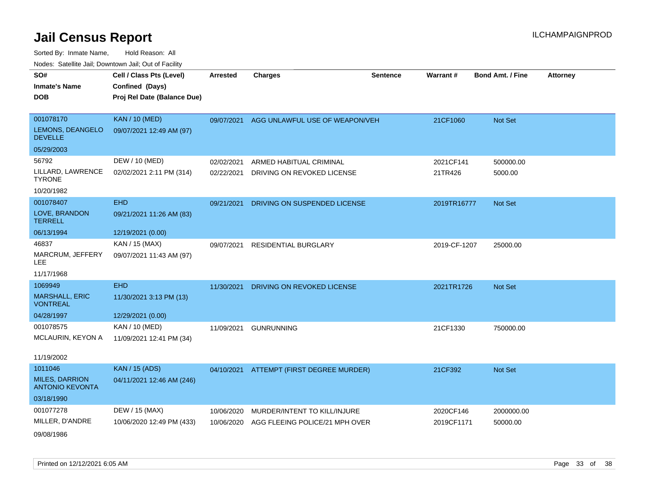| SO#                                             | Cell / Class Pts (Level)    | <b>Arrested</b> | <b>Charges</b>                           | <b>Sentence</b> | Warrant#     | <b>Bond Amt. / Fine</b> | <b>Attorney</b> |
|-------------------------------------------------|-----------------------------|-----------------|------------------------------------------|-----------------|--------------|-------------------------|-----------------|
| <b>Inmate's Name</b>                            | Confined (Days)             |                 |                                          |                 |              |                         |                 |
| <b>DOB</b>                                      | Proj Rel Date (Balance Due) |                 |                                          |                 |              |                         |                 |
|                                                 |                             |                 |                                          |                 |              |                         |                 |
| 001078170                                       | <b>KAN / 10 (MED)</b>       | 09/07/2021      | AGG UNLAWFUL USE OF WEAPON/VEH           |                 | 21CF1060     | Not Set                 |                 |
| LEMONS, DEANGELO<br><b>DEVELLE</b>              | 09/07/2021 12:49 AM (97)    |                 |                                          |                 |              |                         |                 |
| 05/29/2003                                      |                             |                 |                                          |                 |              |                         |                 |
| 56792                                           | DEW / 10 (MED)              | 02/02/2021      | ARMED HABITUAL CRIMINAL                  |                 | 2021CF141    | 500000.00               |                 |
| LILLARD, LAWRENCE<br><b>TYRONE</b>              | 02/02/2021 2:11 PM (314)    | 02/22/2021      | DRIVING ON REVOKED LICENSE               |                 | 21TR426      | 5000.00                 |                 |
| 10/20/1982                                      |                             |                 |                                          |                 |              |                         |                 |
| 001078407                                       | <b>EHD</b>                  | 09/21/2021      | DRIVING ON SUSPENDED LICENSE             |                 | 2019TR16777  | Not Set                 |                 |
| LOVE, BRANDON<br><b>TERRELL</b>                 | 09/21/2021 11:26 AM (83)    |                 |                                          |                 |              |                         |                 |
| 06/13/1994                                      | 12/19/2021 (0.00)           |                 |                                          |                 |              |                         |                 |
| 46837                                           | KAN / 15 (MAX)              | 09/07/2021      | <b>RESIDENTIAL BURGLARY</b>              |                 | 2019-CF-1207 | 25000.00                |                 |
| MARCRUM, JEFFERY<br><b>LEE</b>                  | 09/07/2021 11:43 AM (97)    |                 |                                          |                 |              |                         |                 |
| 11/17/1968                                      |                             |                 |                                          |                 |              |                         |                 |
| 1069949                                         | <b>EHD</b>                  | 11/30/2021      | DRIVING ON REVOKED LICENSE               |                 | 2021TR1726   | Not Set                 |                 |
| MARSHALL, ERIC<br><b>VONTREAL</b>               | 11/30/2021 3:13 PM (13)     |                 |                                          |                 |              |                         |                 |
| 04/28/1997                                      | 12/29/2021 (0.00)           |                 |                                          |                 |              |                         |                 |
| 001078575                                       | KAN / 10 (MED)              | 11/09/2021      | <b>GUNRUNNING</b>                        |                 | 21CF1330     | 750000.00               |                 |
| MCLAURIN, KEYON A                               | 11/09/2021 12:41 PM (34)    |                 |                                          |                 |              |                         |                 |
| 11/19/2002                                      |                             |                 |                                          |                 |              |                         |                 |
| 1011046                                         | <b>KAN / 15 (ADS)</b>       |                 | 04/10/2021 ATTEMPT (FIRST DEGREE MURDER) |                 | 21CF392      | Not Set                 |                 |
| <b>MILES, DARRION</b><br><b>ANTONIO KEVONTA</b> | 04/11/2021 12:46 AM (246)   |                 |                                          |                 |              |                         |                 |
| 03/18/1990                                      |                             |                 |                                          |                 |              |                         |                 |
| 001077278                                       | DEW / 15 (MAX)              | 10/06/2020      | MURDER/INTENT TO KILL/INJURE             |                 | 2020CF146    | 2000000.00              |                 |
| MILLER, D'ANDRE                                 | 10/06/2020 12:49 PM (433)   | 10/06/2020      | AGG FLEEING POLICE/21 MPH OVER           |                 | 2019CF1171   | 50000.00                |                 |
| 09/08/1986                                      |                             |                 |                                          |                 |              |                         |                 |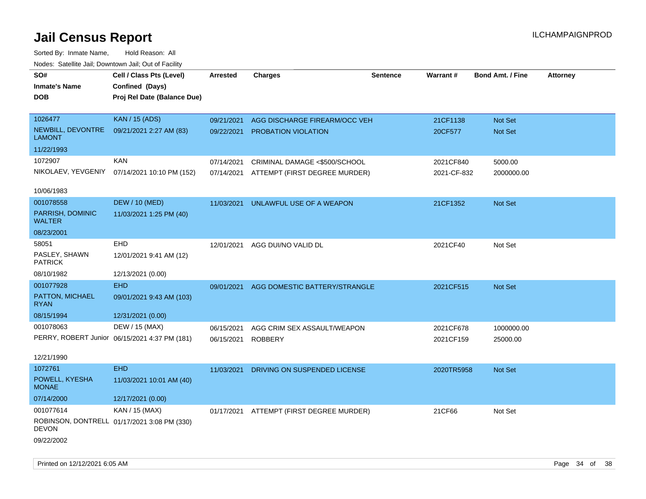| rouco. Calcillo Jali, Downtown Jali, Out of Facility |                                               |                 |                                          |          |             |                         |                 |
|------------------------------------------------------|-----------------------------------------------|-----------------|------------------------------------------|----------|-------------|-------------------------|-----------------|
| SO#                                                  | Cell / Class Pts (Level)                      | <b>Arrested</b> | <b>Charges</b>                           | Sentence | Warrant#    | <b>Bond Amt. / Fine</b> | <b>Attorney</b> |
| <b>Inmate's Name</b>                                 | Confined (Days)                               |                 |                                          |          |             |                         |                 |
| DOB                                                  | Proj Rel Date (Balance Due)                   |                 |                                          |          |             |                         |                 |
|                                                      |                                               |                 |                                          |          |             |                         |                 |
| 1026477                                              | <b>KAN / 15 (ADS)</b>                         | 09/21/2021      | AGG DISCHARGE FIREARM/OCC VEH            |          | 21CF1138    | Not Set                 |                 |
| NEWBILL, DEVONTRE<br>LAMONT                          | 09/21/2021 2:27 AM (83)                       | 09/22/2021      | PROBATION VIOLATION                      |          | 20CF577     | Not Set                 |                 |
| 11/22/1993                                           |                                               |                 |                                          |          |             |                         |                 |
| 1072907                                              | <b>KAN</b>                                    | 07/14/2021      | CRIMINAL DAMAGE <\$500/SCHOOL            |          | 2021CF840   | 5000.00                 |                 |
|                                                      | NIKOLAEV, YEVGENIY 07/14/2021 10:10 PM (152)  | 07/14/2021      | ATTEMPT (FIRST DEGREE MURDER)            |          | 2021-CF-832 | 2000000.00              |                 |
|                                                      |                                               |                 |                                          |          |             |                         |                 |
| 10/06/1983                                           |                                               |                 |                                          |          |             |                         |                 |
| 001078558                                            | <b>DEW / 10 (MED)</b>                         | 11/03/2021      | UNLAWFUL USE OF A WEAPON                 |          | 21CF1352    | Not Set                 |                 |
| PARRISH, DOMINIC<br><b>WALTER</b>                    | 11/03/2021 1:25 PM (40)                       |                 |                                          |          |             |                         |                 |
| 08/23/2001                                           |                                               |                 |                                          |          |             |                         |                 |
| 58051                                                | EHD                                           | 12/01/2021      | AGG DUI/NO VALID DL                      |          | 2021CF40    | Not Set                 |                 |
| PASLEY, SHAWN<br><b>PATRICK</b>                      | 12/01/2021 9:41 AM (12)                       |                 |                                          |          |             |                         |                 |
| 08/10/1982                                           | 12/13/2021 (0.00)                             |                 |                                          |          |             |                         |                 |
| 001077928                                            | <b>EHD</b>                                    | 09/01/2021      | AGG DOMESTIC BATTERY/STRANGLE            |          | 2021CF515   | Not Set                 |                 |
| PATTON, MICHAEL<br><b>RYAN</b>                       | 09/01/2021 9:43 AM (103)                      |                 |                                          |          |             |                         |                 |
| 08/15/1994                                           | 12/31/2021 (0.00)                             |                 |                                          |          |             |                         |                 |
| 001078063                                            | DEW / 15 (MAX)                                | 06/15/2021      | AGG CRIM SEX ASSAULT/WEAPON              |          | 2021CF678   | 1000000.00              |                 |
|                                                      | PERRY, ROBERT Junior 06/15/2021 4:37 PM (181) | 06/15/2021      | <b>ROBBERY</b>                           |          | 2021CF159   | 25000.00                |                 |
|                                                      |                                               |                 |                                          |          |             |                         |                 |
| 12/21/1990                                           |                                               |                 |                                          |          |             |                         |                 |
| 1072761                                              | <b>EHD</b>                                    | 11/03/2021      | DRIVING ON SUSPENDED LICENSE             |          | 2020TR5958  | <b>Not Set</b>          |                 |
| POWELL, KYESHA<br><b>MONAE</b>                       | 11/03/2021 10:01 AM (40)                      |                 |                                          |          |             |                         |                 |
| 07/14/2000                                           | 12/17/2021 (0.00)                             |                 |                                          |          |             |                         |                 |
| 001077614                                            | KAN / 15 (MAX)                                |                 | 01/17/2021 ATTEMPT (FIRST DEGREE MURDER) |          | 21CF66      | Not Set                 |                 |
| DEVON                                                | ROBINSON, DONTRELL 01/17/2021 3:08 PM (330)   |                 |                                          |          |             |                         |                 |
| 09/22/2002                                           |                                               |                 |                                          |          |             |                         |                 |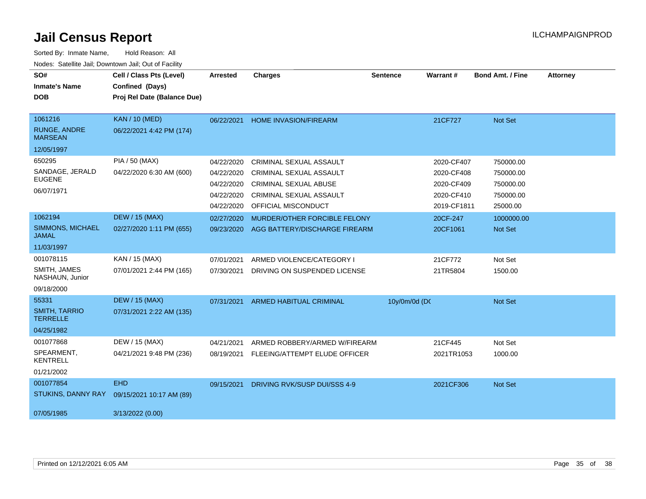| SO#<br><b>Inmate's Name</b><br><b>DOB</b>                      | Cell / Class Pts (Level)<br>Confined (Days)<br>Proj Rel Date (Balance Due) | <b>Arrested</b>                                                    | <b>Charges</b>                                                                                                                              | <b>Sentence</b> | Warrant#                                                            | <b>Bond Amt. / Fine</b>                                      | <b>Attorney</b> |
|----------------------------------------------------------------|----------------------------------------------------------------------------|--------------------------------------------------------------------|---------------------------------------------------------------------------------------------------------------------------------------------|-----------------|---------------------------------------------------------------------|--------------------------------------------------------------|-----------------|
| 1061216<br><b>RUNGE, ANDRE</b><br><b>MARSEAN</b><br>12/05/1997 | <b>KAN / 10 (MED)</b><br>06/22/2021 4:42 PM (174)                          | 06/22/2021                                                         | <b>HOME INVASION/FIREARM</b>                                                                                                                |                 | 21CF727                                                             | Not Set                                                      |                 |
| 650295<br>SANDAGE, JERALD<br><b>EUGENE</b><br>06/07/1971       | PIA / 50 (MAX)<br>04/22/2020 6:30 AM (600)                                 | 04/22/2020<br>04/22/2020<br>04/22/2020<br>04/22/2020<br>04/22/2020 | CRIMINAL SEXUAL ASSAULT<br><b>CRIMINAL SEXUAL ASSAULT</b><br><b>CRIMINAL SEXUAL ABUSE</b><br>CRIMINAL SEXUAL ASSAULT<br>OFFICIAL MISCONDUCT |                 | 2020-CF407<br>2020-CF408<br>2020-CF409<br>2020-CF410<br>2019-CF1811 | 750000.00<br>750000.00<br>750000.00<br>750000.00<br>25000.00 |                 |
| 1062194<br>SIMMONS, MICHAEL<br><b>JAMAL</b><br>11/03/1997      | <b>DEW / 15 (MAX)</b><br>02/27/2020 1:11 PM (655)                          | 02/27/2020<br>09/23/2020                                           | MURDER/OTHER FORCIBLE FELONY<br>AGG BATTERY/DISCHARGE FIREARM                                                                               |                 | 20CF-247<br>20CF1061                                                | 1000000.00<br>Not Set                                        |                 |
| 001078115<br>SMITH, JAMES<br>NASHAUN, Junior<br>09/18/2000     | KAN / 15 (MAX)<br>07/01/2021 2:44 PM (165)                                 | 07/01/2021<br>07/30/2021                                           | ARMED VIOLENCE/CATEGORY I<br>DRIVING ON SUSPENDED LICENSE                                                                                   |                 | 21CF772<br>21TR5804                                                 | Not Set<br>1500.00                                           |                 |
| 55331<br><b>SMITH, TARRIO</b><br><b>TERRELLE</b><br>04/25/1982 | <b>DEW / 15 (MAX)</b><br>07/31/2021 2:22 AM (135)                          | 07/31/2021                                                         | <b>ARMED HABITUAL CRIMINAL</b>                                                                                                              | 10y/0m/0d (DC   |                                                                     | Not Set                                                      |                 |
| 001077868<br>SPEARMENT.<br><b>KENTRELL</b><br>01/21/2002       | DEW / 15 (MAX)<br>04/21/2021 9:48 PM (236)                                 | 04/21/2021<br>08/19/2021                                           | ARMED ROBBERY/ARMED W/FIREARM<br>FLEEING/ATTEMPT ELUDE OFFICER                                                                              |                 | 21CF445<br>2021TR1053                                               | Not Set<br>1000.00                                           |                 |
| 001077854<br>STUKINS, DANNY RAY<br>07/05/1985                  | <b>EHD</b><br>09/15/2021 10:17 AM (89)<br>3/13/2022 (0.00)                 | 09/15/2021                                                         | DRIVING RVK/SUSP DUI/SSS 4-9                                                                                                                |                 | 2021CF306                                                           | <b>Not Set</b>                                               |                 |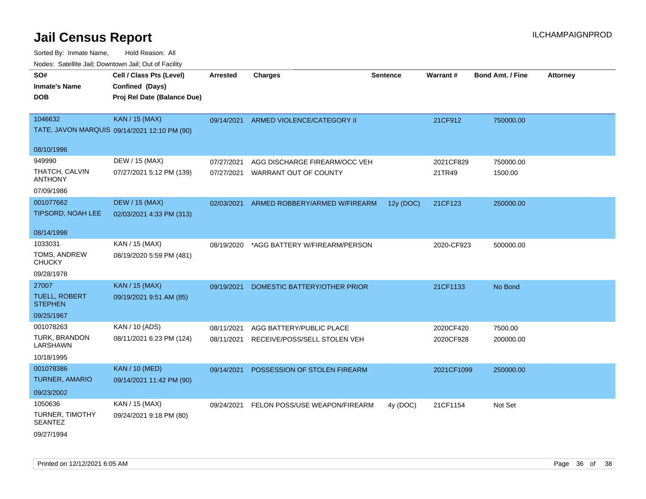| SO#                                      | Cell / Class Pts (Level)                     | <b>Arrested</b> | <b>Charges</b>                | <b>Sentence</b> | Warrant#   | <b>Bond Amt. / Fine</b> | <b>Attorney</b> |
|------------------------------------------|----------------------------------------------|-----------------|-------------------------------|-----------------|------------|-------------------------|-----------------|
| Inmate's Name                            | Confined (Days)                              |                 |                               |                 |            |                         |                 |
| <b>DOB</b>                               | Proj Rel Date (Balance Due)                  |                 |                               |                 |            |                         |                 |
|                                          |                                              |                 |                               |                 |            |                         |                 |
| 1046632                                  | <b>KAN / 15 (MAX)</b>                        | 09/14/2021      | ARMED VIOLENCE/CATEGORY II    |                 | 21CF912    | 750000.00               |                 |
|                                          | TATE, JAVON MARQUIS 09/14/2021 12:10 PM (90) |                 |                               |                 |            |                         |                 |
|                                          |                                              |                 |                               |                 |            |                         |                 |
| 08/10/1996                               |                                              |                 |                               |                 |            |                         |                 |
| 949990                                   | DEW / 15 (MAX)                               | 07/27/2021      | AGG DISCHARGE FIREARM/OCC VEH |                 | 2021CF829  | 750000.00               |                 |
| THATCH, CALVIN<br><b>ANTHONY</b>         | 07/27/2021 5:12 PM (139)                     | 07/27/2021      | WARRANT OUT OF COUNTY         |                 | 21TR49     | 1500.00                 |                 |
| 07/09/1986                               |                                              |                 |                               |                 |            |                         |                 |
| 001077662                                | <b>DEW / 15 (MAX)</b>                        | 02/03/2021      | ARMED ROBBERY/ARMED W/FIREARM | 12y (DOC)       | 21CF123    | 250000.00               |                 |
| TIPSORD, NOAH LEE                        | 02/03/2021 4:33 PM (313)                     |                 |                               |                 |            |                         |                 |
|                                          |                                              |                 |                               |                 |            |                         |                 |
| 08/14/1998                               |                                              |                 |                               |                 |            |                         |                 |
| 1033031                                  | KAN / 15 (MAX)                               | 08/19/2020      | *AGG BATTERY W/FIREARM/PERSON |                 | 2020-CF923 | 500000.00               |                 |
| TOMS, ANDREW<br><b>CHUCKY</b>            | 08/19/2020 5:59 PM (481)                     |                 |                               |                 |            |                         |                 |
| 09/28/1978                               |                                              |                 |                               |                 |            |                         |                 |
| 27007                                    | <b>KAN / 15 (MAX)</b>                        | 09/19/2021      | DOMESTIC BATTERY/OTHER PRIOR  |                 | 21CF1133   | No Bond                 |                 |
| <b>TUELL, ROBERT</b><br><b>STEPHEN</b>   | 09/19/2021 9:51 AM (85)                      |                 |                               |                 |            |                         |                 |
| 09/25/1967                               |                                              |                 |                               |                 |            |                         |                 |
| 001078263                                | KAN / 10 (ADS)                               | 08/11/2021      | AGG BATTERY/PUBLIC PLACE      |                 | 2020CF420  | 7500.00                 |                 |
| <b>TURK, BRANDON</b><br>LARSHAWN         | 08/11/2021 6:23 PM (124)                     | 08/11/2021      | RECEIVE/POSS/SELL STOLEN VEH  |                 | 2020CF928  | 200000.00               |                 |
| 10/18/1995                               |                                              |                 |                               |                 |            |                         |                 |
| 001078386                                | <b>KAN / 10 (MED)</b>                        | 09/14/2021      | POSSESSION OF STOLEN FIREARM  |                 | 2021CF1099 | 250000.00               |                 |
| <b>TURNER, AMARIO</b>                    | 09/14/2021 11:42 PM (90)                     |                 |                               |                 |            |                         |                 |
| 09/23/2002                               |                                              |                 |                               |                 |            |                         |                 |
| 1050636                                  | KAN / 15 (MAX)                               | 09/24/2021      | FELON POSS/USE WEAPON/FIREARM | 4y (DOC)        | 21CF1154   | Not Set                 |                 |
| <b>TURNER, TIMOTHY</b><br><b>SEANTEZ</b> | 09/24/2021 9:18 PM (80)                      |                 |                               |                 |            |                         |                 |
| 09/27/1994                               |                                              |                 |                               |                 |            |                         |                 |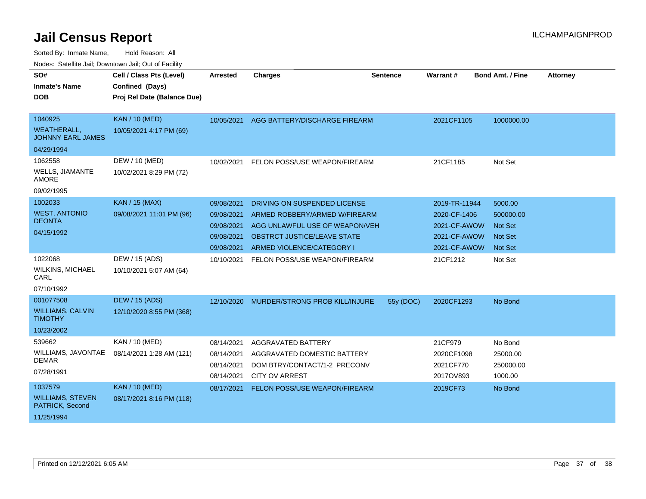Sorted By: Inmate Name, Hold Reason: All

| Nodes: Satellite Jail; Downtown Jail; Out of Facility |                             |                 |                                           |                 |               |                         |                 |  |
|-------------------------------------------------------|-----------------------------|-----------------|-------------------------------------------|-----------------|---------------|-------------------------|-----------------|--|
| SO#                                                   | Cell / Class Pts (Level)    | <b>Arrested</b> | <b>Charges</b>                            | <b>Sentence</b> | Warrant#      | <b>Bond Amt. / Fine</b> | <b>Attorney</b> |  |
| <b>Inmate's Name</b>                                  | Confined (Days)             |                 |                                           |                 |               |                         |                 |  |
| <b>DOB</b>                                            | Proj Rel Date (Balance Due) |                 |                                           |                 |               |                         |                 |  |
|                                                       |                             |                 |                                           |                 |               |                         |                 |  |
| 1040925                                               | <b>KAN / 10 (MED)</b>       | 10/05/2021      | AGG BATTERY/DISCHARGE FIREARM             |                 | 2021CF1105    | 1000000.00              |                 |  |
| <b>WEATHERALL,</b><br><b>JOHNNY EARL JAMES</b>        | 10/05/2021 4:17 PM (69)     |                 |                                           |                 |               |                         |                 |  |
| 04/29/1994                                            |                             |                 |                                           |                 |               |                         |                 |  |
| 1062558                                               | DEW / 10 (MED)              | 10/02/2021      | FELON POSS/USE WEAPON/FIREARM             |                 | 21CF1185      | Not Set                 |                 |  |
| <b>WELLS, JIAMANTE</b><br><b>AMORE</b>                | 10/02/2021 8:29 PM (72)     |                 |                                           |                 |               |                         |                 |  |
| 09/02/1995                                            |                             |                 |                                           |                 |               |                         |                 |  |
| 1002033                                               | <b>KAN / 15 (MAX)</b>       | 09/08/2021      | DRIVING ON SUSPENDED LICENSE              |                 | 2019-TR-11944 | 5000.00                 |                 |  |
| <b>WEST, ANTONIO</b>                                  | 09/08/2021 11:01 PM (96)    | 09/08/2021      | ARMED ROBBERY/ARMED W/FIREARM             |                 | 2020-CF-1406  | 500000.00               |                 |  |
| <b>DEONTA</b>                                         |                             | 09/08/2021      | AGG UNLAWFUL USE OF WEAPON/VEH            |                 | 2021-CF-AWOW  | <b>Not Set</b>          |                 |  |
| 04/15/1992                                            |                             | 09/08/2021      | OBSTRCT JUSTICE/LEAVE STATE               |                 | 2021-CF-AWOW  | <b>Not Set</b>          |                 |  |
|                                                       |                             | 09/08/2021      | ARMED VIOLENCE/CATEGORY I                 |                 | 2021-CF-AWOW  | <b>Not Set</b>          |                 |  |
| 1022068                                               | DEW / 15 (ADS)              | 10/10/2021      | FELON POSS/USE WEAPON/FIREARM             |                 | 21CF1212      | Not Set                 |                 |  |
| <b>WILKINS, MICHAEL</b><br>CARL                       | 10/10/2021 5:07 AM (64)     |                 |                                           |                 |               |                         |                 |  |
| 07/10/1992                                            |                             |                 |                                           |                 |               |                         |                 |  |
| 001077508                                             | <b>DEW / 15 (ADS)</b>       |                 | 12/10/2020 MURDER/STRONG PROB KILL/INJURE | 55y (DOC)       | 2020CF1293    | No Bond                 |                 |  |
| <b>WILLIAMS, CALVIN</b><br><b>TIMOTHY</b>             | 12/10/2020 8:55 PM (368)    |                 |                                           |                 |               |                         |                 |  |
| 10/23/2002                                            |                             |                 |                                           |                 |               |                         |                 |  |
| 539662                                                | KAN / 10 (MED)              | 08/14/2021      | <b>AGGRAVATED BATTERY</b>                 |                 | 21CF979       | No Bond                 |                 |  |
| WILLIAMS, JAVONTAE                                    | 08/14/2021 1:28 AM (121)    | 08/14/2021      | AGGRAVATED DOMESTIC BATTERY               |                 | 2020CF1098    | 25000.00                |                 |  |
| <b>DEMAR</b>                                          |                             | 08/14/2021      | DOM BTRY/CONTACT/1-2 PRECONV              |                 | 2021CF770     | 250000.00               |                 |  |
| 07/28/1991                                            |                             | 08/14/2021      | <b>CITY OV ARREST</b>                     |                 | 2017OV893     | 1000.00                 |                 |  |
| 1037579                                               | <b>KAN / 10 (MED)</b>       | 08/17/2021      | FELON POSS/USE WEAPON/FIREARM             |                 | 2019CF73      | No Bond                 |                 |  |
| <b>WILLIAMS, STEVEN</b><br>PATRICK, Second            | 08/17/2021 8:16 PM (118)    |                 |                                           |                 |               |                         |                 |  |
| 11/25/1994                                            |                             |                 |                                           |                 |               |                         |                 |  |